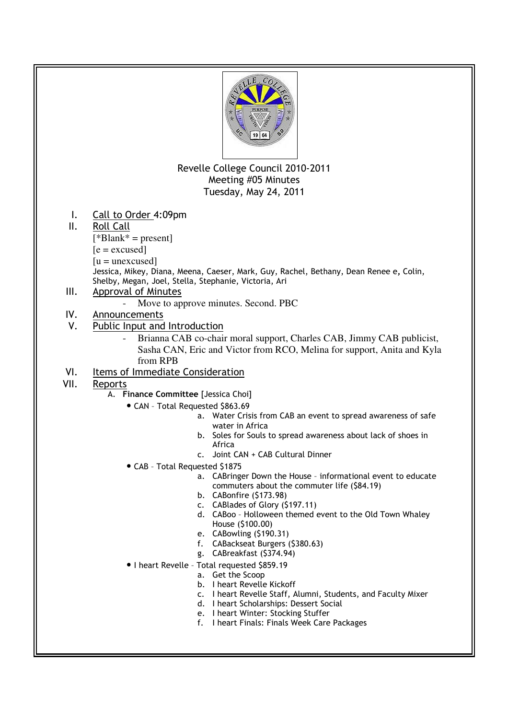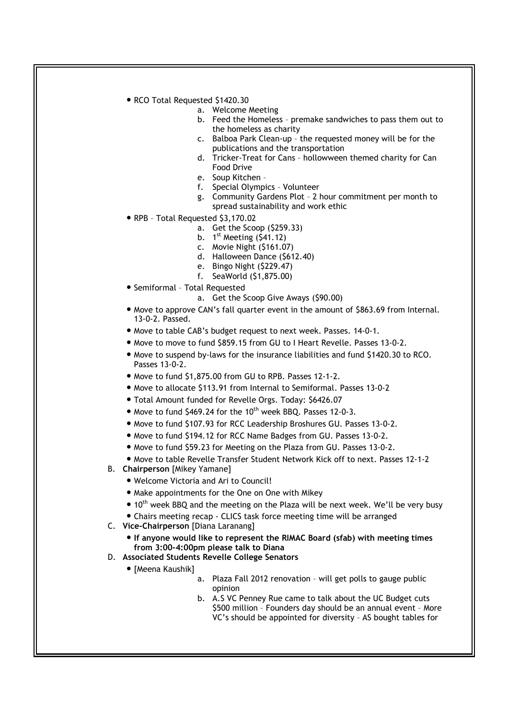- RCO Total Requested \$1420.30
	- a. Welcome Meeting
	- b. Feed the Homeless premake sandwiches to pass them out to the homeless as charity
	- c. Balboa Park Clean-up the requested money will be for the publications and the transportation
	- d. Tricker-Treat for Cans hollowween themed charity for Can Food Drive
	- e. Soup Kitchen –
	- f. Special Olympics Volunteer
	- g. Community Gardens Plot 2 hour commitment per month to spread sustainability and work ethic
- RPB Total Requested \$3,170.02
	- a. Get the Scoop (\$259.33)
	- b.  $1^{\text{st}}$  Meeting  $(\$41.12)$
	- c. Movie Night (\$161.07)
	- d. Halloween Dance (\$612.40)
	- e. Bingo Night (\$229.47)
	- f. SeaWorld (\$1,875.00)
- Semiformal Total Requested
	- a. Get the Scoop Give Aways (\$90.00)
- Move to approve CAN's fall quarter event in the amount of \$863.69 from Internal. 13-0-2. Passed.
- Move to table CAB's budget request to next week. Passes. 14-0-1.
- Move to move to fund \$859.15 from GU to I Heart Revelle. Passes 13-0-2.
- Move to suspend by-laws for the insurance liabilities and fund \$1420.30 to RCO. Passes 13-0-2.
- Move to fund \$1,875.00 from GU to RPB. Passes 12-1-2.
- Move to allocate \$113.91 from Internal to Semiformal. Passes 13-0-2
- Total Amount funded for Revelle Orgs. Today: \$6426.07
- Move to fund \$469.24 for the 10<sup>th</sup> week BBQ. Passes 12-0-3.
- Move to fund \$107.93 for RCC Leadership Broshures GU. Passes 13-0-2.
- Move to fund \$194.12 for RCC Name Badges from GU. Passes 13-0-2.
- Move to fund \$59.23 for Meeting on the Plaza from GU. Passes 13-0-2.
- Move to table Revelle Transfer Student Network Kick off to next. Passes 12-1-2
- B. Chairperson [Mikey Yamane]
	- Welcome Victoria and Ari to Council!
	- Make appointments for the One on One with Mikey
	- $\bullet$  10<sup>th</sup> week BBQ and the meeting on the Plaza will be next week. We'll be very busy
	- Chairs meeting recap CLICS task force meeting time will be arranged
- C. Vice-Chairperson [Diana Laranang]
	- If anyone would like to represent the RIMAC Board (sfab) with meeting times from 3:00-4:00pm please talk to Diana
- D. Associated Students Revelle College Senators
	- [Meena Kaushik]
		- a. Plaza Fall 2012 renovation will get polls to gauge public opinion
		- b. A.S VC Penney Rue came to talk about the UC Budget cuts \$500 million – Founders day should be an annual event – More VC's should be appointed for diversity – AS bought tables for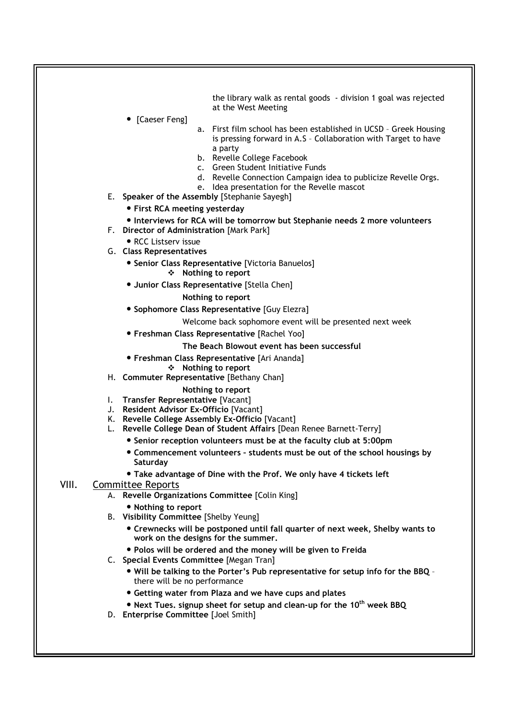the library walk as rental goods - division 1 goal was rejected at the West Meeting

- [Caeser Feng]
- a. First film school has been established in UCSD Greek Housing is pressing forward in A.S – Collaboration with Target to have a party
- b. Revelle College Facebook
- c. Green Student Initiative Funds
- d. Revelle Connection Campaign idea to publicize Revelle Orgs.
- e. Idea presentation for the Revelle mascot
- E. Speaker of the Assembly [Stephanie Sayegh]
	- First RCA meeting yesterday
	- Interviews for RCA will be tomorrow but Stephanie needs 2 more volunteers
- F. Director of Administration [Mark Park]
	- RCC Listserv issue
- G. Class Representatives
	- Senior Class Representative [Victoria Banuelos] ❖ Nothing to report
	- Junior Class Representative [Stella Chen]
		- Nothing to report
	- Sophomore Class Representative [Guy Elezra]

Welcome back sophomore event will be presented next week

• Freshman Class Representative [Rachel Yoo]

#### The Beach Blowout event has been successful

- Freshman Class Representative [Ari Ananda] ❖ Nothing to report
- 
- H. Commuter Representative [Bethany Chan]

### Nothing to report

- I. Transfer Representative [Vacant]
- J. Resident Advisor Ex-Officio [Vacant]
- K. Revelle College Assembly Ex-Officio [Vacant]
- L. Revelle College Dean of Student Affairs [Dean Renee Barnett-Terry]
	- Senior reception volunteers must be at the faculty club at 5:00pm
	- Commencement volunteers students must be out of the school housings by **Saturday**
	- Take advantage of Dine with the Prof. We only have 4 tickets left

- A. Revelle Organizations Committee [Colin King]
	- Nothing to report
- B. Visibility Committee [Shelby Yeung]
	- Crewnecks will be postponed until fall quarter of next week, Shelby wants to work on the designs for the summer.
	- Polos will be ordered and the money will be given to Freida
- C. Special Events Committee [Megan Tran]
	- Will be talking to the Porter's Pub representative for setup info for the BBQ there will be no performance
	- Getting water from Plaza and we have cups and plates
	- Next Tues. signup sheet for setup and clean-up for the 10<sup>th</sup> week BBQ
- D. Enterprise Committee [Joel Smith]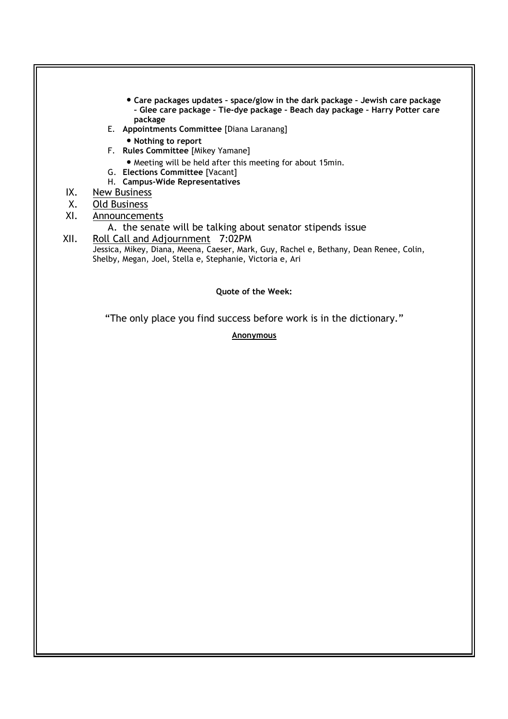|           | • Care packages updates - space/glow in the dark package - Jewish care package                                                                      |
|-----------|-----------------------------------------------------------------------------------------------------------------------------------------------------|
|           | - Glee care package - Tie-dye package - Beach day package - Harry Potter care<br>package                                                            |
|           | E. Appointments Committee [Diana Laranang]                                                                                                          |
|           | • Nothing to report                                                                                                                                 |
|           | F. Rules Committee [Mikey Yamane]                                                                                                                   |
|           | • Meeting will be held after this meeting for about 15min.<br>G. Elections Committee [Vacant]                                                       |
|           | H. Campus-Wide Representatives                                                                                                                      |
| IX.       | New Business                                                                                                                                        |
| X.<br>XI. | <b>Old Business</b><br>Announcements                                                                                                                |
|           | A. the senate will be talking about senator stipends issue                                                                                          |
| XII.      | Roll Call and Adjournment<br>7:02PM                                                                                                                 |
|           | Jessica, Mikey, Diana, Meena, Caeser, Mark, Guy, Rachel e, Bethany, Dean Renee, Colin,<br>Shelby, Megan, Joel, Stella e, Stephanie, Victoria e, Ari |
|           |                                                                                                                                                     |
|           | Quote of the Week:                                                                                                                                  |
|           | "The only place you find success before work is in the dictionary."                                                                                 |
|           | Anonymous                                                                                                                                           |
|           |                                                                                                                                                     |
|           |                                                                                                                                                     |
|           |                                                                                                                                                     |
|           |                                                                                                                                                     |
|           |                                                                                                                                                     |
|           |                                                                                                                                                     |
|           |                                                                                                                                                     |
|           |                                                                                                                                                     |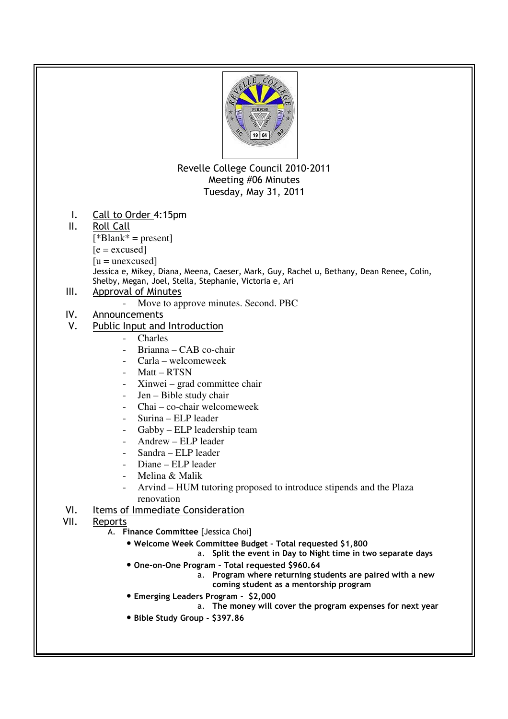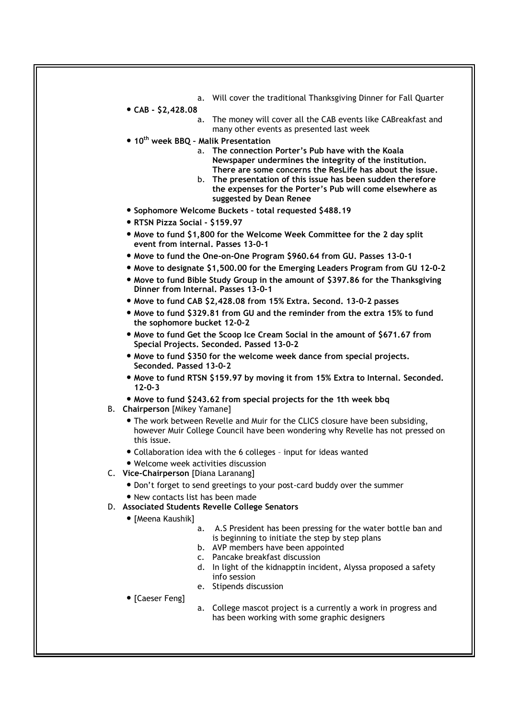a. Will cover the traditional Thanksgiving Dinner for Fall Quarter

```
• CAB - $2,428.08
```
- a. The money will cover all the CAB events like CABreakfast and many other events as presented last week
- 10<sup>th</sup> week BBQ Malik Presentation
	- a. The connection Porter's Pub have with the Koala Newspaper undermines the integrity of the institution. There are some concerns the ResLife has about the issue.
	- b. The presentation of this issue has been sudden therefore the expenses for the Porter's Pub will come elsewhere as suggested by Dean Renee
- Sophomore Welcome Buckets total requested \$488.19
- RTSN Pizza Social \$159.97
- Move to fund \$1,800 for the Welcome Week Committee for the 2 day split event from internal. Passes 13-0-1
- Move to fund the One-on-One Program \$960.64 from GU. Passes 13-0-1
- Move to designate \$1,500.00 for the Emerging Leaders Program from GU 12-0-2
- Move to fund Bible Study Group in the amount of \$397.86 for the Thanksgiving Dinner from Internal. Passes 13-0-1
- Move to fund CAB \$2,428.08 from 15% Extra. Second. 13-0-2 passes
- Move to fund \$329.81 from GU and the reminder from the extra 15% to fund the sophomore bucket 12-0-2
- Move to fund Get the Scoop Ice Cream Social in the amount of \$671.67 from Special Projects. Seconded. Passed 13-0-2
- Move to fund \$350 for the welcome week dance from special projects. Seconded. Passed 13-0-2
- Move to fund RTSN \$159.97 by moving it from 15% Extra to Internal. Seconded. 12-0-3
- Move to fund \$243.62 from special projects for the 1th week bbq
- B. Chairperson [Mikey Yamane]
	- The work between Revelle and Muir for the CLICS closure have been subsiding, however Muir College Council have been wondering why Revelle has not pressed on this issue.
	- Collaboration idea with the 6 colleges input for ideas wanted
	- Welcome week activities discussion
- C. Vice-Chairperson [Diana Laranang]
	- Don't forget to send greetings to your post-card buddy over the summer
	- New contacts list has been made
- D. Associated Students Revelle College Senators
	- [Meena Kaushik]
		- a. A.S President has been pressing for the water bottle ban and is beginning to initiate the step by step plans
		- b. AVP members have been appointed
		- c. Pancake breakfast discussion
		- d. In light of the kidnapptin incident, Alyssa proposed a safety info session
		- e. Stipends discussion
	- [Caeser Feng]
- a. College mascot project is a currently a work in progress and has been working with some graphic designers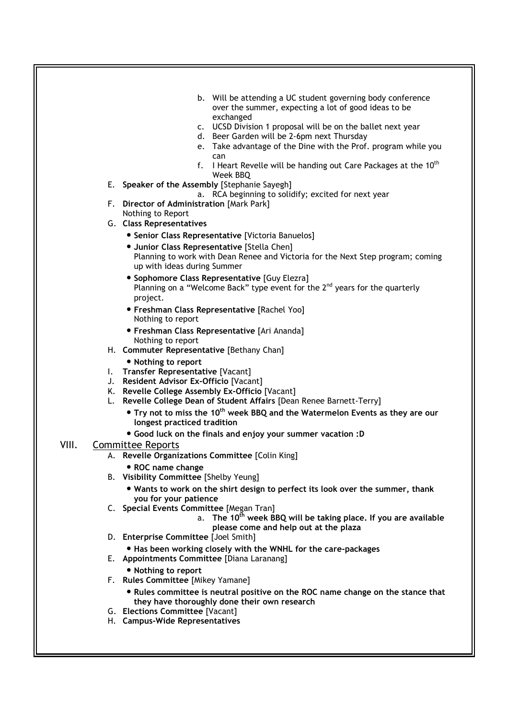- b. Will be attending a UC student governing body conference over the summer, expecting a lot of good ideas to be exchanged
- c. UCSD Division 1 proposal will be on the ballet next year
- d. Beer Garden will be 2-6pm next Thursday
- e. Take advantage of the Dine with the Prof. program while you can
- f. I Heart Revelle will be handing out Care Packages at the  $10^{th}$ Week BBQ
- E. Speaker of the Assembly [Stephanie Sayegh]
	- a. RCA beginning to solidify; excited for next year
- F. Director of Administration [Mark Park]
- Nothing to Report G. Class Representatives
	- - Senior Class Representative [Victoria Banuelos]
		- Junior Class Representative [Stella Chen] Planning to work with Dean Renee and Victoria for the Next Step program; coming up with ideas during Summer
		- Sophomore Class Representative [Guy Elezra] Planning on a "Welcome Back" type event for the 2<sup>nd</sup> years for the quarterly project.
		- Freshman Class Representative [Rachel Yoo] Nothing to report
		- Freshman Class Representative [Ari Ananda] Nothing to report
- H. Commuter Representative [Bethany Chan]
	- Nothing to report
- I. Transfer Representative [Vacant]
- J. Resident Advisor Ex-Officio [Vacant]
- K. Revelle College Assembly Ex-Officio [Vacant]
- L. Revelle College Dean of Student Affairs [Dean Renee Barnett-Terry]
	- $\bullet$  Try not to miss the 10<sup>th</sup> week BBQ and the Watermelon Events as they are our longest practiced tradition
	- Good luck on the finals and enjoy your summer vacation :D

- A. Revelle Organizations Committee [Colin King]
	- ROC name change
- B. Visibility Committee [Shelby Yeung]
	- Wants to work on the shirt design to perfect its look over the summer, thank you for your patience
- C. Special Events Committee [Megan Tran]
	- a. The  $10^{th}$  week BBQ will be taking place. If you are available
		- please come and help out at the plaza
- D. Enterprise Committee [Joel Smith]
	- Has been working closely with the WNHL for the care-packages
- E. Appointments Committee [Diana Laranang]
	- Nothing to report
- F. Rules Committee [Mikey Yamane]
	- Rules committee is neutral positive on the ROC name change on the stance that they have thoroughly done their own research
- G. Elections Committee [Vacant]
- H. Campus-Wide Representatives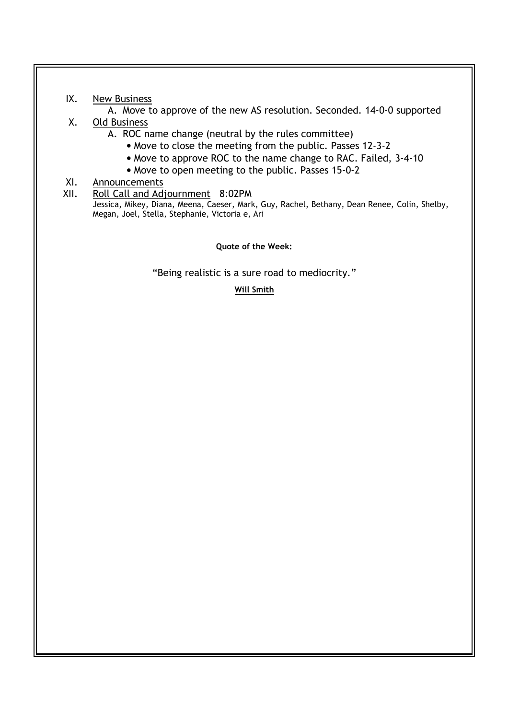#### IX. New Business

A. Move to approve of the new AS resolution. Seconded. 14-0-0 supported X. Old Business

- A. ROC name change (neutral by the rules committee)
	- Move to close the meeting from the public. Passes 12-3-2
	- Move to approve ROC to the name change to RAC. Failed, 3-4-10
	- Move to open meeting to the public. Passes 15-0-2

# XI. Announcements<br>XII. Roll Call and Ad

Roll Call and Adjournment 8:02PM Jessica, Mikey, Diana, Meena, Caeser, Mark, Guy, Rachel, Bethany, Dean Renee, Colin, Shelby, Megan, Joel, Stella, Stephanie, Victoria e, Ari

#### Quote of the Week:

"Being realistic is a sure road to mediocrity."

# Will Smith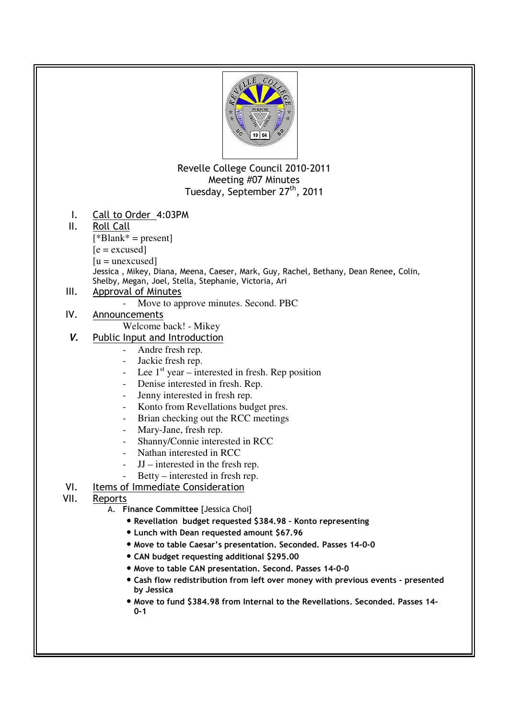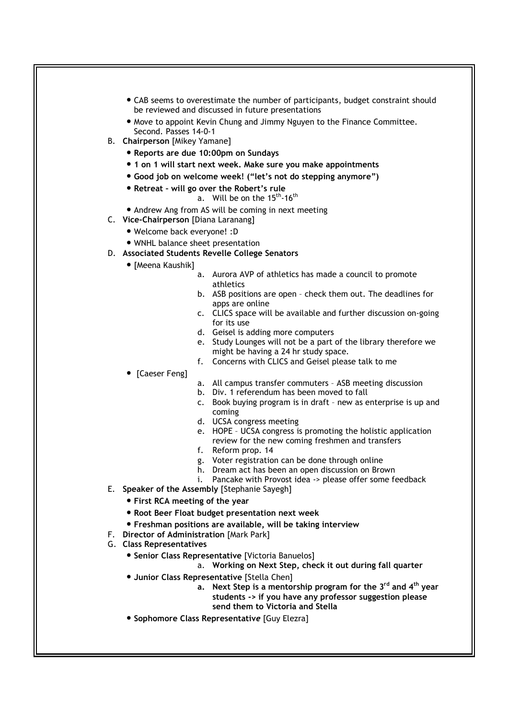- CAB seems to overestimate the number of participants, budget constraint should be reviewed and discussed in future presentations
- Move to appoint Kevin Chung and Jimmy Nguyen to the Finance Committee. Second. Passes 14-0-1
- B. Chairperson [Mikey Yamane]
	- Reports are due 10:00pm on Sundays
	- 1 on 1 will start next week. Make sure you make appointments
	- Good job on welcome week! ("let's not do stepping anymore")
	- Retreat will go over the Robert's rule
		- a. Will be on the 15<sup>th</sup>-16<sup>th</sup>
	- Andrew Ang from AS will be coming in next meeting
- C. Vice-Chairperson [Diana Laranang]
	- Welcome back everyone! :D
	- WNHL balance sheet presentation
- D. Associated Students Revelle College Senators
	- [Meena Kaushik]
- a. Aurora AVP of athletics has made a council to promote athletics
- b. ASB positions are open check them out. The deadlines for apps are online
- c. CLICS space will be available and further discussion on-going for its use
- d. Geisel is adding more computers
- e. Study Lounges will not be a part of the library therefore we might be having a 24 hr study space.
- f. Concerns with CLICS and Geisel please talk to me
- [Caeser Feng]
- a. All campus transfer commuters ASB meeting discussion
- b. Div. 1 referendum has been moved to fall
- c. Book buying program is in draft new as enterprise is up and coming
- d. UCSA congress meeting
- e. HOPE UCSA congress is promoting the holistic application review for the new coming freshmen and transfers
- f. Reform prop. 14
- g. Voter registration can be done through online
- h. Dream act has been an open discussion on Brown
- i. Pancake with Provost idea -> please offer some feedback
- E. Speaker of the Assembly [Stephanie Sayegh]
	- First RCA meeting of the year
	- Root Beer Float budget presentation next week
	- Freshman positions are available, will be taking interview
- F. Director of Administration [Mark Park]
- G. Class Representatives
	- Senior Class Representative [Victoria Banuelos]

a. Working on Next Step, check it out during fall quarter

- Junior Class Representative [Stella Chen]
	- a. Next Step is a mentorship program for the  $3<sup>rd</sup>$  and  $4<sup>th</sup>$  year students -> if you have any professor suggestion please send them to Victoria and Stella
- Sophomore Class Representative [Guy Elezra]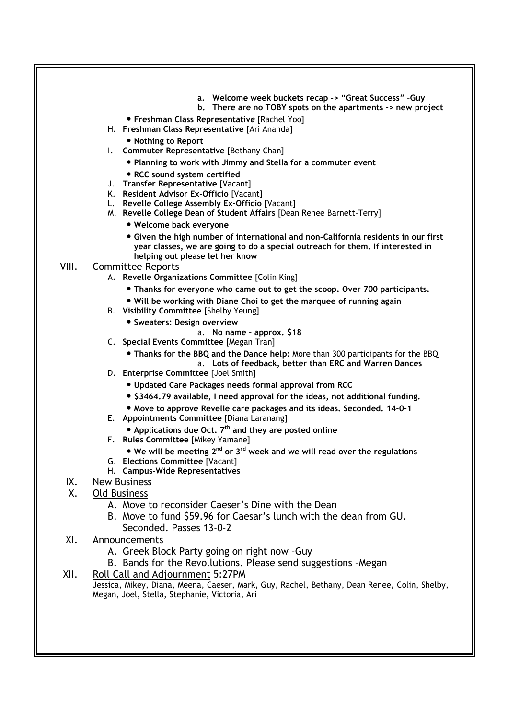- a. Welcome week buckets recap -> "Great Success" –Guy
- b. There are no TOBY spots on the apartments -> new project
- Freshman Class Representative [Rachel Yoo]
- H. Freshman Class Representative [Ari Ananda]
	- Nothing to Report
- I. Commuter Representative [Bethany Chan]
	- Planning to work with Jimmy and Stella for a commuter event
	- RCC sound system certified
- J. Transfer Representative [Vacant]
- K. Resident Advisor Ex-Officio [Vacant]
- L. Revelle College Assembly Ex-Officio [Vacant]
- M. Revelle College Dean of Student Affairs [Dean Renee Barnett-Terry]
	- Welcome back everyone
	- Given the high number of international and non-California residents in our first year classes, we are going to do a special outreach for them. If interested in helping out please let her know

- A. Revelle Organizations Committee [Colin King]
	- Thanks for everyone who came out to get the scoop. Over 700 participants.
	- Will be working with Diane Choi to get the marquee of running again
- B. Visibility Committee [Shelby Yeung]
	- Sweaters: Design overview
		- a. No name approx. \$18
- C. Special Events Committee [Megan Tran]
	- Thanks for the BBQ and the Dance help: More than 300 participants for the BBQ a. Lots of feedback, better than ERC and Warren Dances
- D. Enterprise Committee [Joel Smith]
	- Updated Care Packages needs formal approval from RCC
	- \$3464.79 available, I need approval for the ideas, not additional funding.
	- Move to approve Revelle care packages and its ideas. Seconded. 14-0-1
- E. Appointments Committee [Diana Laranang]
	- Applications due Oct.  $7<sup>th</sup>$  and they are posted online
- F. Rules Committee [Mikey Yamane]
	- We will be meeting  $2^{nd}$  or  $3^{rd}$  week and we will read over the regulations
- G. Elections Committee [Vacant]
- H. Campus-Wide Representatives
- IX. New Business
- X. Old Business
	- A. Move to reconsider Caeser's Dine with the Dean
	- B. Move to fund \$59.96 for Caesar's lunch with the dean from GU. Seconded. Passes 13-0-2
- XI. Announcements
	- A. Greek Block Party going on right now –Guy
	- B. Bands for the Revollutions. Please send suggestions –Megan
- XII. Roll Call and Adjournment 5:27PM

Jessica, Mikey, Diana, Meena, Caeser, Mark, Guy, Rachel, Bethany, Dean Renee, Colin, Shelby, Megan, Joel, Stella, Stephanie, Victoria, Ari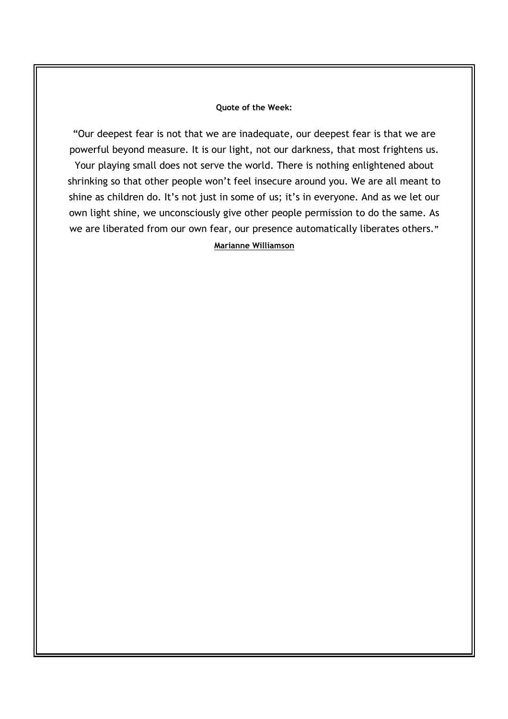#### Quote of the Week:

"Our deepest fear is not that we are inadequate, our deepest fear is that we are powerful beyond measure. It is our light, not our darkness, that most frightens us. Your playing small does not serve the world. There is nothing enlightened about shrinking so that other people won't feel insecure around you. We are all meant to shine as children do. It's not just in some of us; it's in everyone. And as we let our own light shine, we unconsciously give other people permission to do the same. As we are liberated from our own fear, our presence automatically liberates others."

#### Marianne Williamson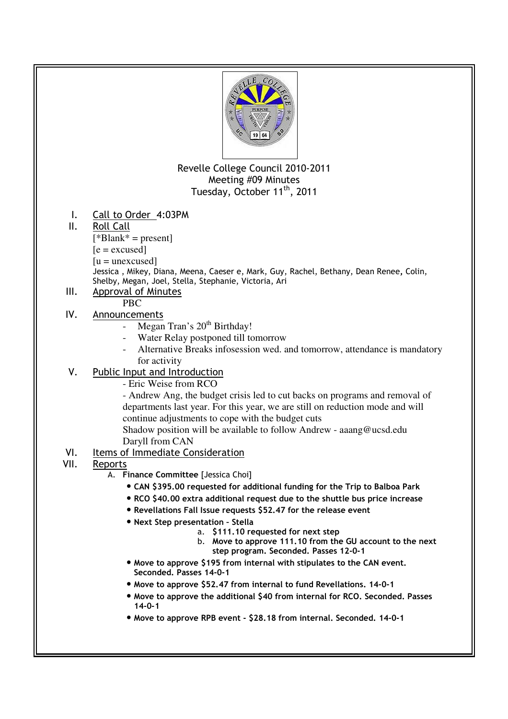

### Revelle College Council 2010-2011 Meeting #09 Minutes Tuesday, October 11<sup>th</sup>, 2011

- I. Call to Order 4:03PM
- II. Roll Call
	- $[ * Blank* = present]$
	- $[e =$  excused]
	- $[u =$ unexcused $]$

Jessica , Mikey, Diana, Meena, Caeser e, Mark, Guy, Rachel, Bethany, Dean Renee, Colin, Shelby, Megan, Joel, Stella, Stephanie, Victoria, Ari

# III. Approval of Minutes

PBC

# IV. Announcements

- $\overline{\text{Megan}}$  Tran's 20<sup>th</sup> Birthday!
- Water Relay postponed till tomorrow
- Alternative Breaks infosession wed. and tomorrow, attendance is mandatory for activity

# V. Public Input and Introduction

- Eric Weise from RCO

- Andrew Ang, the budget crisis led to cut backs on programs and removal of departments last year. For this year, we are still on reduction mode and will continue adjustments to cope with the budget cuts

Shadow position will be available to follow Andrew - aaang@ucsd.edu Daryll from CAN

# VI. Items of Immediate Consideration

- VII. Reports
	- A. Finance Committee [Jessica Choi]
		- CAN \$395.00 requested for additional funding for the Trip to Balboa Park
		- RCO \$40.00 extra additional request due to the shuttle bus price increase
		- Revellations Fall Issue requests \$52.47 for the release event
		- Next Step presentation Stella
			- a. \$111.10 requested for next step
			- b. Move to approve 111.10 from the GU account to the next step program. Seconded. Passes 12-0-1
		- Move to approve \$195 from internal with stipulates to the CAN event. Seconded. Passes 14-0-1
		- Move to approve \$52.47 from internal to fund Revellations. 14-0-1
		- Move to approve the additional \$40 from internal for RCO. Seconded. Passes 14-0-1
		- Move to approve RPB event \$28.18 from internal. Seconded. 14-0-1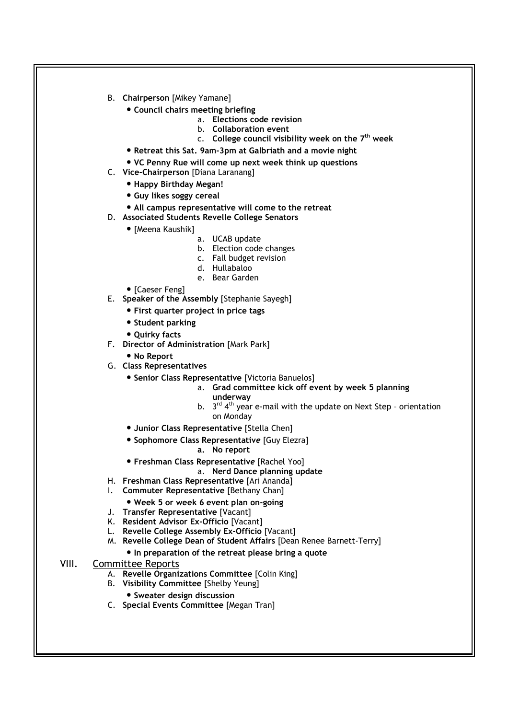- B. Chairperson [Mikey Yamane]
	- Council chairs meeting briefing
		- a. Elections code revision
		- b. Collaboration event
		- c. College council visibility week on the  $7<sup>th</sup>$  week
	- Retreat this Sat. 9am-3pm at Galbriath and a movie night
	- VC Penny Rue will come up next week think up questions
- C. Vice-Chairperson [Diana Laranang]
	- Happy Birthday Megan!
	- Guy likes soggy cereal
	- All campus representative will come to the retreat
- D. Associated Students Revelle College Senators
	- [Meena Kaushik]
		- a. UCAB update
		- b. Election code changes
		- c. Fall budget revision
		- d. Hullabaloo
		- e. Bear Garden
	- [Caeser Feng]
- E. Speaker of the Assembly [Stephanie Sayegh]
	- First quarter project in price tags
		- Student parking
		- Quirky facts
- F. Director of Administration [Mark Park]
	- No Report
- G. Class Representatives
	- Senior Class Representative [Victoria Banuelos]
		- a. Grad committee kick off event by week 5 planning underway
		- b. 3<sup>rd</sup> 4<sup>th</sup> year e-mail with the update on Next Step orientation on Monday
	- Junior Class Representative [Stella Chen]
	- Sophomore Class Representative [Guy Elezra]
		- a. No report
	- Freshman Class Representative [Rachel Yoo]
		- a. Nerd Dance planning update
- H. Freshman Class Representative [Ari Ananda]
- I. Commuter Representative [Bethany Chan]
	- Week 5 or week 6 event plan on-going
- J. Transfer Representative [Vacant]
- K. Resident Advisor Ex-Officio [Vacant]
- L. Revelle College Assembly Ex-Officio [Vacant]
- M. Revelle College Dean of Student Affairs [Dean Renee Barnett-Terry]

#### • In preparation of the retreat please bring a quote

- A. Revelle Organizations Committee [Colin King]
- B. Visibility Committee [Shelby Yeung]
	- Sweater design discussion
- C. Special Events Committee [Megan Tran]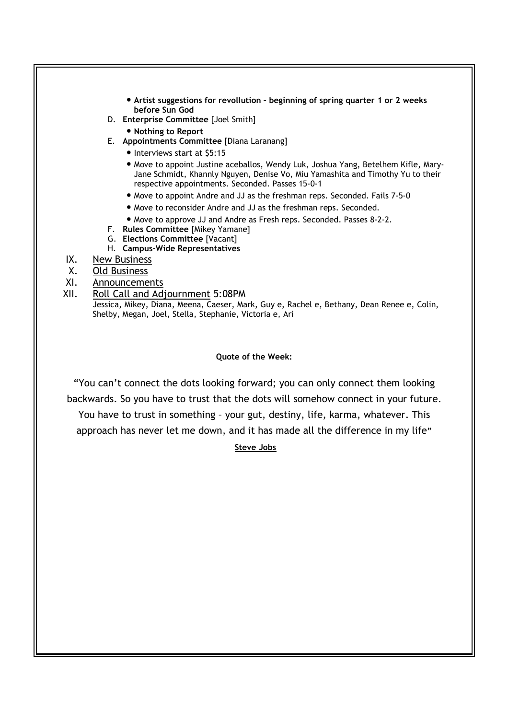• Artist suggestions for revollution – beginning of spring quarter 1 or 2 weeks before Sun God D. Enterprise Committee [Joel Smith] • Nothing to Report E. Appointments Committee [Diana Laranang] • Interviews start at \$5:15 • Move to appoint Justine aceballos, Wendy Luk, Joshua Yang, Betelhem Kifle, Mary-Jane Schmidt, Khannly Nguyen, Denise Vo, Miu Yamashita and Timothy Yu to their respective appointments. Seconded. Passes 15-0-1 • Move to appoint Andre and JJ as the freshman reps. Seconded. Fails 7-5-0 • Move to reconsider Andre and JJ as the freshman reps. Seconded. • Move to approve JJ and Andre as Fresh reps. Seconded. Passes 8-2-2. F. Rules Committee [Mikey Yamane] G. Elections Committee [Vacant] H. Campus-Wide Representatives IX. New Business X. Old Business XI. Announcements XII. Roll Call and Adjournment 5:08PM Jessica, Mikey, Diana, Meena, Caeser, Mark, Guy e, Rachel e, Bethany, Dean Renee e, Colin, Shelby, Megan, Joel, Stella, Stephanie, Victoria e, Ari

#### Quote of the Week:

"You can't connect the dots looking forward; you can only connect them looking backwards. So you have to trust that the dots will somehow connect in your future. You have to trust in something – your gut, destiny, life, karma, whatever. This approach has never let me down, and it has made all the difference in my life"

#### Steve Jobs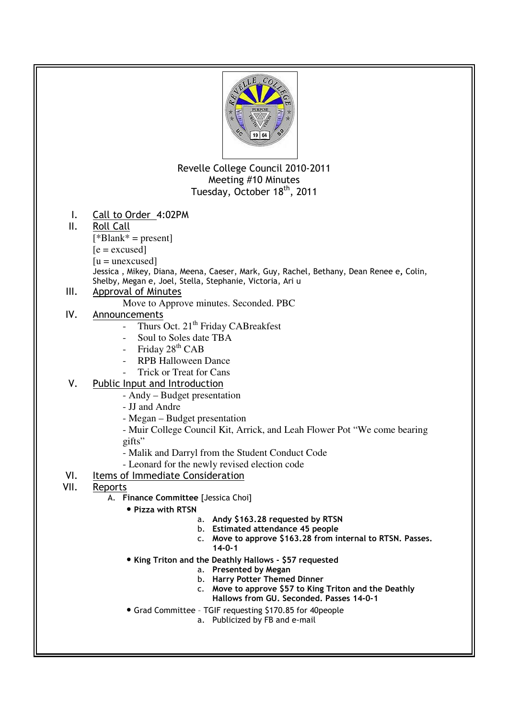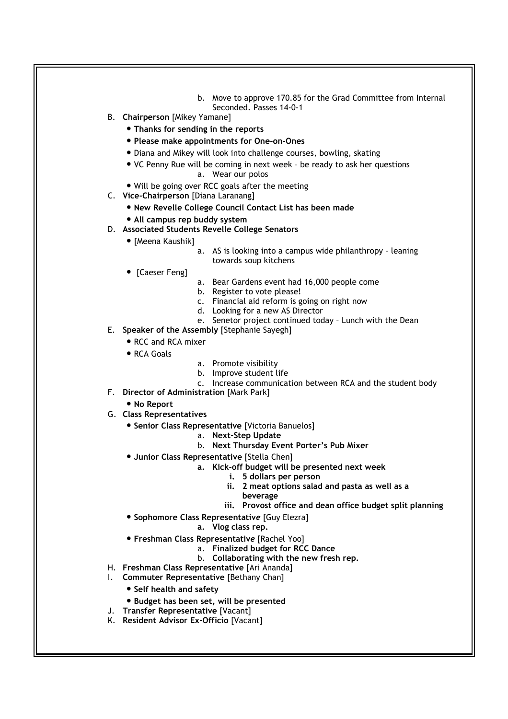- b. Move to approve 170.85 for the Grad Committee from Internal Seconded. Passes 14-0-1
- B. Chairperson [Mikey Yamane]
	- Thanks for sending in the reports
	- Please make appointments for One-on-Ones
	- Diana and Mikey will look into challenge courses, bowling, skating
	- VC Penny Rue will be coming in next week be ready to ask her questions a. Wear our polos
	- Will be going over RCC goals after the meeting
- C. Vice-Chairperson [Diana Laranang]
	- New Revelle College Council Contact List has been made
	- All campus rep buddy system
- D. Associated Students Revelle College Senators
	- [Meena Kaushik]
		- a. AS is looking into a campus wide philanthropy leaning towards soup kitchens
	- [Caeser Feng]
- a. Bear Gardens event had 16,000 people come
- b. Register to vote please!
- c. Financial aid reform is going on right now
- d. Looking for a new AS Director
- e. Senetor project continued today Lunch with the Dean
- E. Speaker of the Assembly [Stephanie Sayegh]
	- RCC and RCA mixer
	- RCA Goals
- a. Promote visibility
- b. Improve student life
- c. Increase communication between RCA and the student body
- F. Director of Administration [Mark Park]
	- No Report
- G. Class Representatives
	- Senior Class Representative [Victoria Banuelos]
		- a. Next-Step Update
		- b. Next Thursday Event Porter's Pub Mixer
	- Junior Class Representative [Stella Chen]
		- a. Kick-off budget will be presented next week
			- i. 5 dollars per person
			- ii. 2 meat options salad and pasta as well as a beverage
				-
			- iii. Provost office and dean office budget split planning
	- Sophomore Class Representative [Guy Elezra]
		- a. Vlog class rep.
	- Freshman Class Representative [Rachel Yoo]
		- a. Finalized budget for RCC Dance
		- b. Collaborating with the new fresh rep.
- H. Freshman Class Representative [Ari Ananda]
- I. Commuter Representative [Bethany Chan]
	- Self health and safety
	- Budget has been set, will be presented
- J. Transfer Representative [Vacant]
- K. Resident Advisor Ex-Officio [Vacant]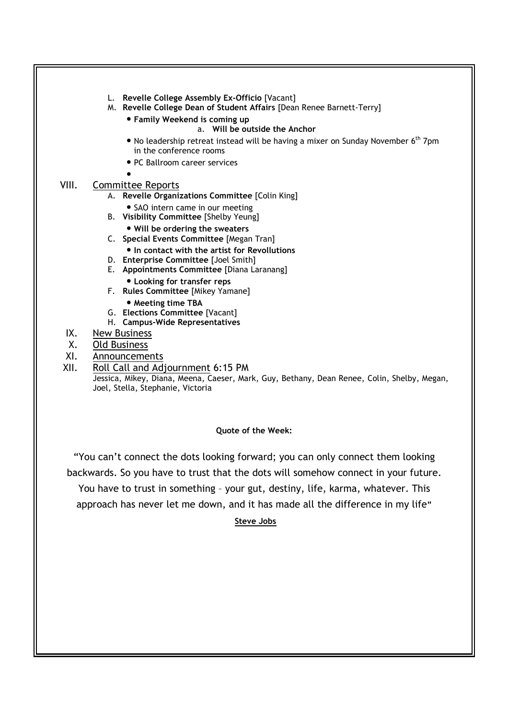|       | L. Revelle College Assembly Ex-Officio [Vacant]                                                                                  |
|-------|----------------------------------------------------------------------------------------------------------------------------------|
|       | M. Revelle College Dean of Student Affairs [Dean Renee Barnett-Terry]                                                            |
|       | • Family Weekend is coming up<br>a. Will be outside the Anchor                                                                   |
|       | • No leadership retreat instead will be having a mixer on Sunday November 6 <sup>th</sup> 7pm<br>in the conference rooms         |
|       | • PC Ballroom career services                                                                                                    |
|       |                                                                                                                                  |
| VIII. | <b>Committee Reports</b>                                                                                                         |
|       | A. Revelle Organizations Committee [Colin King]                                                                                  |
|       | • SAO intern came in our meeting<br>B. Visibility Committee [Shelby Yeung]                                                       |
|       | • Will be ordering the sweaters                                                                                                  |
|       | C. Special Events Committee [Megan Tran]                                                                                         |
|       | • In contact with the artist for Revollutions                                                                                    |
|       | D. Enterprise Committee [Joel Smith]                                                                                             |
|       | E. Appointments Committee [Diana Laranang]                                                                                       |
|       | • Looking for transfer reps                                                                                                      |
|       | F. Rules Committee [Mikey Yamane]                                                                                                |
|       | • Meeting time TBA                                                                                                               |
|       | G. Elections Committee [Vacant]                                                                                                  |
|       | H. Campus-Wide Representatives                                                                                                   |
| IX.   | <b>New Business</b>                                                                                                              |
| Χ.    | <b>Old Business</b>                                                                                                              |
| XI.   | Announcements                                                                                                                    |
| XII.  | Roll Call and Adjournment 6:15 PM                                                                                                |
|       | Jessica, Mikey, Diana, Meena, Caeser, Mark, Guy, Bethany, Dean Renee, Colin, Shelby, Megan,<br>Joel, Stella, Stephanie, Victoria |

ΓF

 $\overline{\mathbf{r}}$ 

Quote of the Week:

"You can't connect the dots looking forward; you can only connect them looking backwards. So you have to trust that the dots will somehow connect in your future. You have to trust in something – your gut, destiny, life, karma, whatever. This approach has never let me down, and it has made all the difference in my life"

Steve Jobs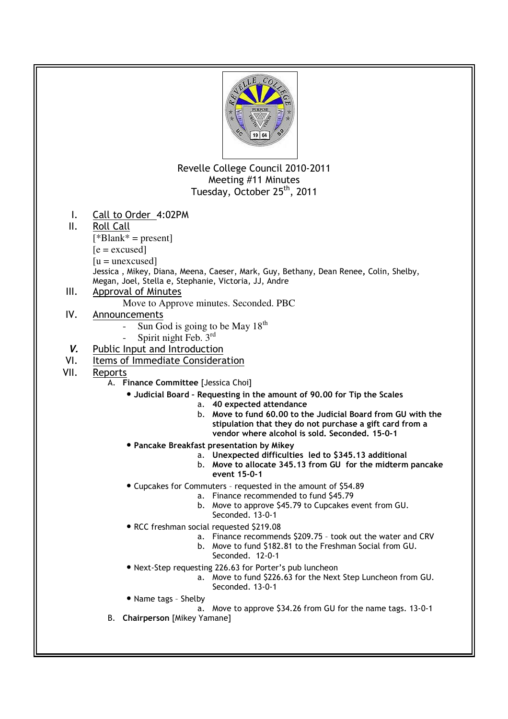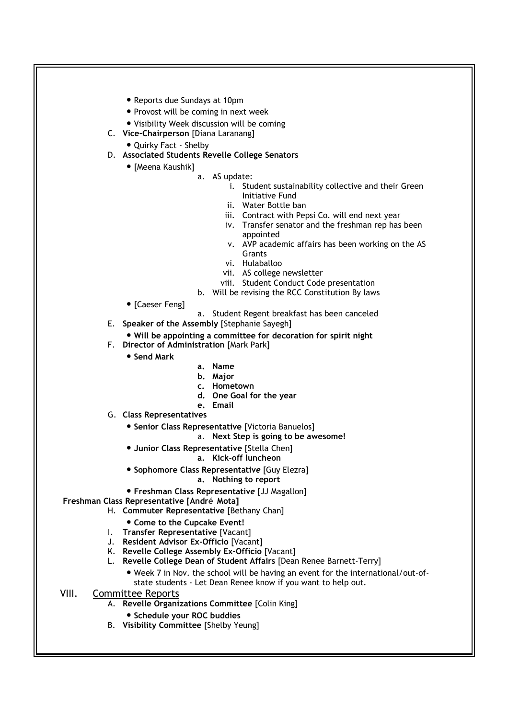- Reports due Sundays at 10pm
- Provost will be coming in next week
- Visibility Week discussion will be coming
- C. Vice-Chairperson [Diana Laranang]
	- Quirky Fact Shelby
- D. Associated Students Revelle College Senators
	- [Meena Kaushik]
		- a. AS update:
			- i. Student sustainability collective and their Green Initiative Fund
			- ii. Water Bottle ban
			- iii. Contract with Pepsi Co. will end next year
			- iv. Transfer senator and the freshman rep has been appointed
			- v. AVP academic affairs has been working on the AS Grants
			- vi. Hulaballoo
			- vii. AS college newsletter
			- viii. Student Conduct Code presentation
			- b. Will be revising the RCC Constitution By laws
	- [Caeser Feng]

a. Student Regent breakfast has been canceled

E. Speaker of the Assembly [Stephanie Sayegh]

• Will be appointing a committee for decoration for spirit night

- F. Director of Administration [Mark Park]
	- Send Mark
- a. Name
- b. Major
- c. Hometown
- d. One Goal for the year
- e. Email
- G. Class Representatives
	- Senior Class Representative [Victoria Banuelos]
		- a. Next Step is going to be awesome!
	- Junior Class Representative [Stella Chen]
		- a. Kick-off luncheon
	- Sophomore Class Representative [Guy Elezra]
		- a. Nothing to report
	- Freshman Class Representative [JJ Magallon]
- Freshman Class Representative [André Mota]
	- H. Commuter Representative [Bethany Chan]
		- Come to the Cupcake Event!
	- I. Transfer Representative [Vacant]
	- J. Resident Advisor Ex-Officio [Vacant]
	- K. Revelle College Assembly Ex-Officio [Vacant]
	- L. Revelle College Dean of Student Affairs [Dean Renee Barnett-Terry]
		- Week 7 in Nov. the school will be having an event for the international/out-ofstate students - Let Dean Renee know if you want to help out.
- VIII. Committee Reports
	- A. Revelle Organizations Committee [Colin King]
		- Schedule your ROC buddies
	- B. Visibility Committee [Shelby Yeung]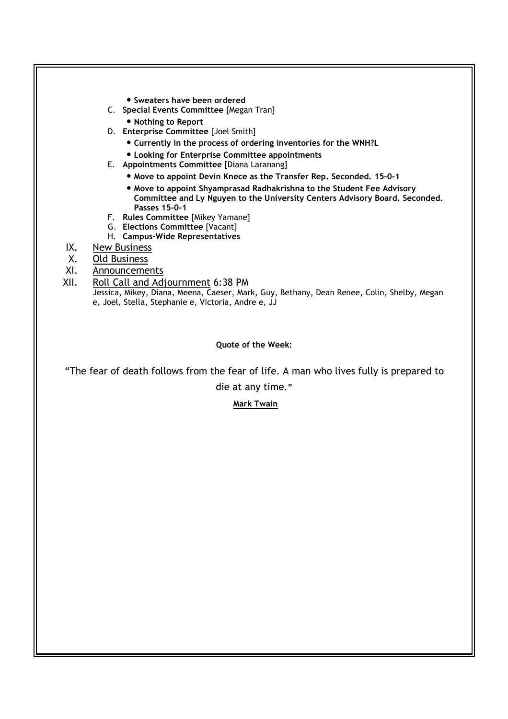- Sweaters have been ordered
- C. Special Events Committee [Megan Tran]
	- Nothing to Report
- D. Enterprise Committee [Joel Smith]
	- Currently in the process of ordering inventories for the WNH?L
	- Looking for Enterprise Committee appointments
- E. Appointments Committee [Diana Laranang]
	- Move to appoint Devin Knece as the Transfer Rep. Seconded. 15-0-1
	- Move to appoint Shyamprasad Radhakrishna to the Student Fee Advisory Committee and Ly Nguyen to the University Centers Advisory Board. Seconded. Passes 15-0-1
- F. Rules Committee [Mikey Yamane]
- G. Elections Committee [Vacant]
- H. Campus-Wide Representatives
- IX. New Business
- X. Old Business
- XI. Announcements
- XII. Roll Call and Adjournment 6:38 PM
- Jessica, Mikey, Diana, Meena, Caeser, Mark, Guy, Bethany, Dean Renee, Colin, Shelby, Megan e, Joel, Stella, Stephanie e, Victoria, Andre e, JJ

#### Quote of the Week:

"The fear of death follows from the fear of life. A man who lives fully is prepared to

die at any time."

#### Mark Twain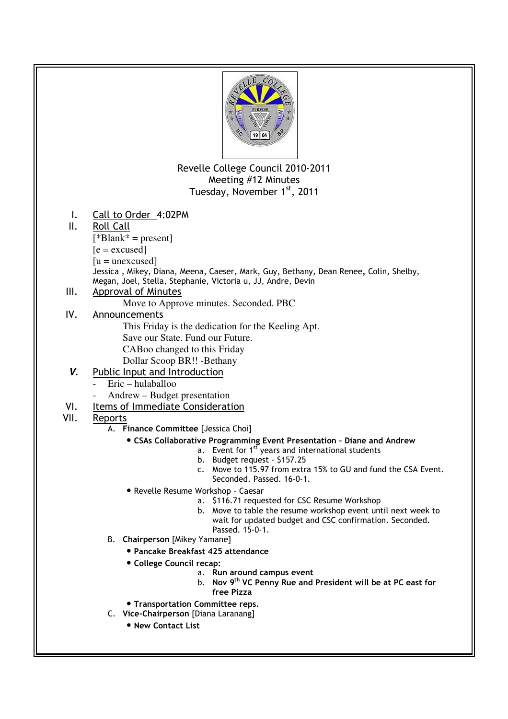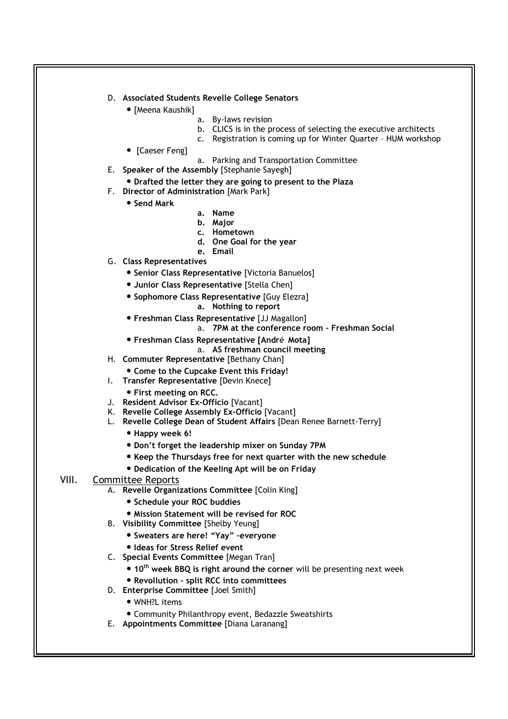- D. Associated Students Revelle College Senators
	- [Meena Kaushik]
- a. By-laws revision
- b. CLICS is in the process of selecting the executive architects
- c. Registration is coming up for Winter Quarter HUM workshop
- [Caeser Feng]
- a. Parking and Transportation Committee
- E. Speaker of the Assembly [Stephanie Sayegh]
	- Drafted the letter they are going to present to the Plaza
- F. Director of Administration [Mark Park]
	- Send Mark
- a. Name
- b. Major
- c. Hometown
- d. One Goal for the year
- e. Email
- G. Class Representatives
	- Senior Class Representative [Victoria Banuelos]
	- Junior Class Representative [Stella Chen]
	- Sophomore Class Representative [Guy Elezra]
		- a. Nothing to report
	- Freshman Class Representative [JJ Magallon]
		- a. 7PM at the conference room Freshman Social
	- Freshman Class Representative [André Mota]
		- a. AS freshman council meeting
- H. Commuter Representative [Bethany Chan]
- Come to the Cupcake Event this Friday!
- I. Transfer Representative [Devin Knece]
	- First meeting on RCC.
- J. Resident Advisor Ex-Officio [Vacant]
- K. Revelle College Assembly Ex-Officio [Vacant]
- L. Revelle College Dean of Student Affairs [Dean Renee Barnett-Terry]
	- Happy week 6!
	- Don't forget the leadership mixer on Sunday 7PM
	- Keep the Thursdays free for next quarter with the new schedule
	- Dedication of the Keeling Apt will be on Friday

- A. Revelle Organizations Committee [Colin King]
	- Schedule your ROC buddies
	- Mission Statement will be revised for ROC
- B. Visibility Committee [Shelby Yeung]
	- Sweaters are here! "Yay" –everyone
	- Ideas for Stress Relief event
- C. Special Events Committee [Megan Tran]
	- 10<sup>th</sup> week BBQ is right around the corner will be presenting next week
	- Revollution split RCC into committees
- D. Enterprise Committee [Joel Smith]
	- WNH?L items
	- Community Philanthropy event, Bedazzle Sweatshirts
- E. Appointments Committee [Diana Laranang]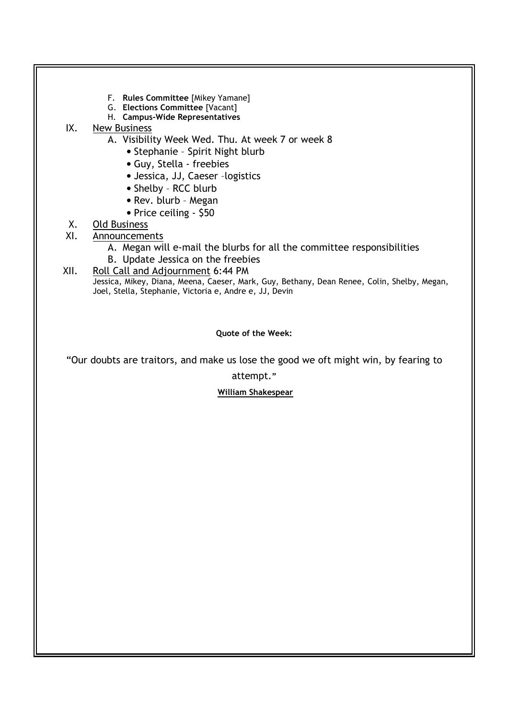- F. Rules Committee [Mikey Yamane]
- G. Elections Committee [Vacant]
- H. Campus-Wide Representatives
- IX. New Business
	- A. Visibility Week Wed. Thu. At week 7 or week 8
		- Stephanie Spirit Night blurb
		- Guy, Stella freebies
		- Jessica, JJ, Caeser –logistics
		- Shelby RCC blurb
		- Rev. blurb Megan
		- Price ceiling \$50
- X. Old Business
- XI. Announcements
	- A. Megan will e-mail the blurbs for all the committee responsibilities
	- B. Update Jessica on the freebies
- XII. Roll Call and Adjournment 6:44 PM

Jessica, Mikey, Diana, Meena, Caeser, Mark, Guy, Bethany, Dean Renee, Colin, Shelby, Megan, Joel, Stella, Stephanie, Victoria e, Andre e, JJ, Devin

#### Quote of the Week:

"Our doubts are traitors, and make us lose the good we oft might win, by fearing to attempt."

#### William Shakespear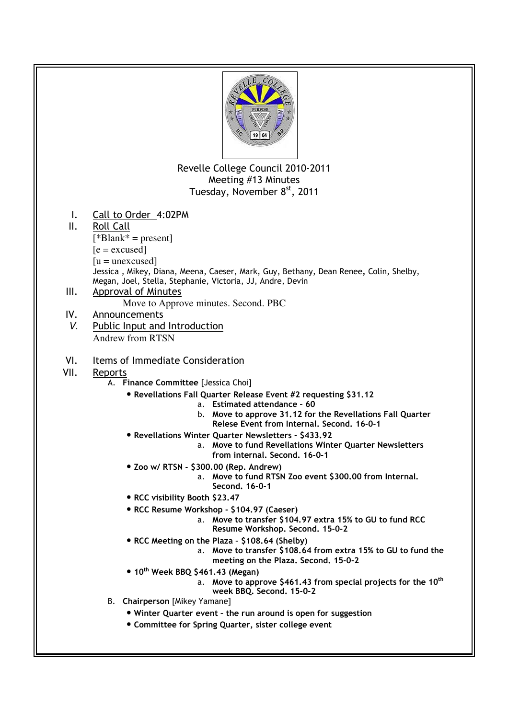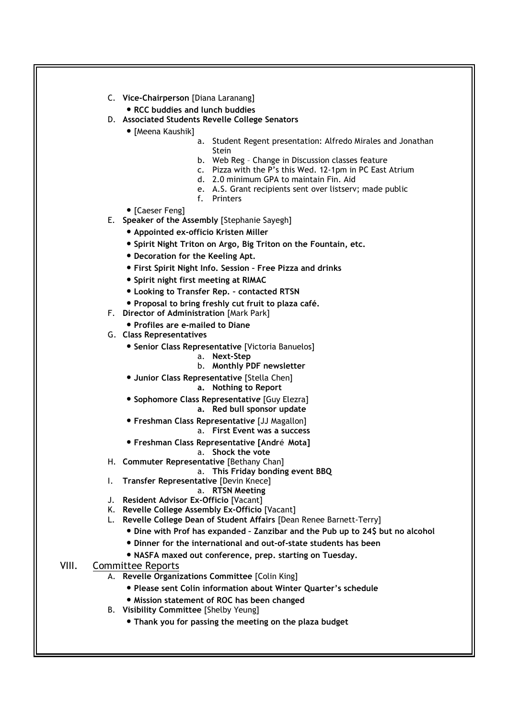- C. Vice-Chairperson [Diana Laranang]
	- RCC buddies and lunch buddies
- D. Associated Students Revelle College Senators
	- [Meena Kaushik]
- a. Student Regent presentation: Alfredo Mirales and Jonathan Stein
- b. Web Reg Change in Discussion classes feature
- c. Pizza with the P's this Wed. 12-1pm in PC East Atrium
- d. 2.0 minimum GPA to maintain Fin. Aid
- e. A.S. Grant recipients sent over listserv; made public
- f. Printers

• [Caeser Feng]

- E. Speaker of the Assembly [Stephanie Sayegh]
	- Appointed ex-officio Kristen Miller
	- Spirit Night Triton on Argo, Big Triton on the Fountain, etc.
	- Decoration for the Keeling Apt.
	- First Spirit Night Info. Session Free Pizza and drinks
	- Spirit night first meeting at RIMAC
	- Looking to Transfer Rep. contacted RTSN
	- Proposal to bring freshly cut fruit to plaza café.
- F. Director of Administration [Mark Park]
	- Profiles are e-mailed to Diane
- G. Class Representatives
	- Senior Class Representative [Victoria Banuelos]
		- a. Next-Step
			- b. Monthly PDF newsletter
	- Junior Class Representative [Stella Chen] a. Nothing to Report
	- Sophomore Class Representative [Guy Elezra] a. Red bull sponsor update
	- Freshman Class Representative [JJ Magallon] a. First Event was a success
	- Freshman Class Representative [André Mota]
		- a. Shock the vote
- H. Commuter Representative [Bethany Chan]
	- a. This Friday bonding event BBQ
- I. Transfer Representative [Devin Knece]
	- a. RTSN Meeting
- J. Resident Advisor Ex-Officio [Vacant]
- K. Revelle College Assembly Ex-Officio [Vacant]
- L. Revelle College Dean of Student Affairs [Dean Renee Barnett-Terry]
	- Dine with Prof has expanded Zanzibar and the Pub up to 24\$ but no alcohol
	- Dinner for the international and out-of-state students has been
	- NASFA maxed out conference, prep. starting on Tuesday.

- A. Revelle Organizations Committee [Colin King]
	- Please sent Colin information about Winter Quarter's schedule
	- Mission statement of ROC has been changed
- B. Visibility Committee [Shelby Yeung]
	- Thank you for passing the meeting on the plaza budget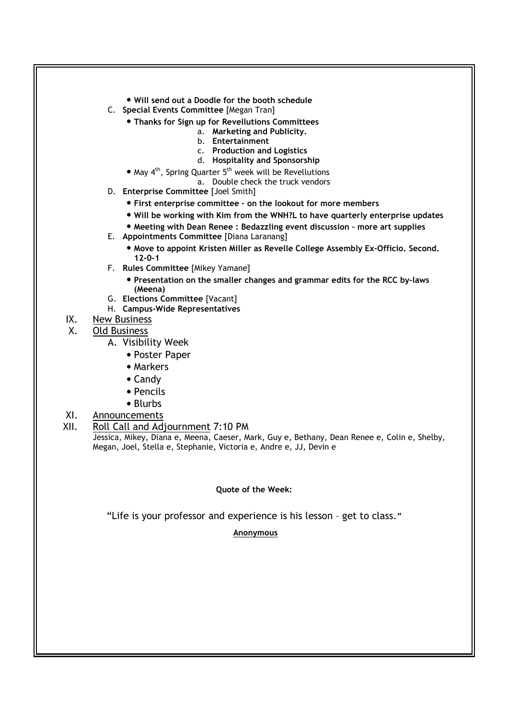- Will send out a Doodle for the booth schedule
- C. Special Events Committee [Megan Tran]
	- Thanks for Sign up for Revellutions Committees
		- a. Marketing and Publicity.
		- b. Entertainment
		- c. Production and Logistics
		- d. Hospitality and Sponsorship
	- May  $4^{th}$ , Spring Quarter  $5^{th}$  week will be Revellutions
		- a. Double check the truck vendors
- D. Enterprise Committee [Joel Smith]
	- First enterprise committee on the lookout for more members
	- Will be working with Kim from the WNH?L to have quarterly enterprise updates
	- Meeting with Dean Renee : Bedazzling event discussion more art supplies
- E. Appointments Committee [Diana Laranang]
	- Move to appoint Kristen Miller as Revelle College Assembly Ex-Officio. Second. 12-0-1
- F. Rules Committee [Mikey Yamane]
	- Presentation on the smaller changes and grammar edits for the RCC by-laws (Meena)
- G. Elections Committee [Vacant]
- H. Campus-Wide Representatives
- IX. New Business
- X. Old Business
	- A. Visibility Week
		- Poster Paper
		- Markers
		- Candy
		- Pencils
		- Blurbs
- XI. Announcements

#### XII. Roll Call and Adjournment 7:10 PM

Jessica, Mikey, Diana e, Meena, Caeser, Mark, Guy e, Bethany, Dean Renee e, Colin e, Shelby, Megan, Joel, Stella e, Stephanie, Victoria e, Andre e, JJ, Devin e

#### Quote of the Week:

"Life is your professor and experience is his lesson – get to class."

#### Anonymous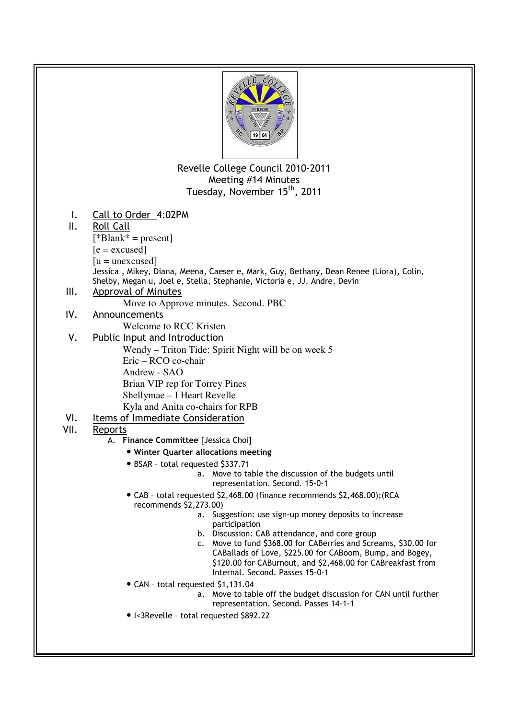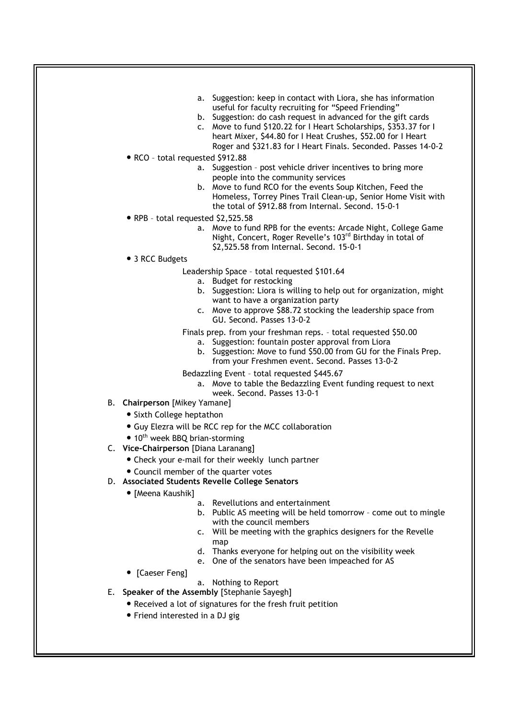- a. Suggestion: keep in contact with Liora, she has information useful for faculty recruiting for "Speed Friending"
- b. Suggestion: do cash request in advanced for the gift cards
- c. Move to fund \$120.22 for I Heart Scholarships, \$353.37 for I heart Mixer, \$44.80 for I Heat Crushes, \$52.00 for I Heart Roger and \$321.83 for I Heart Finals. Seconded. Passes 14-0-2
- RCO total requested \$912.88
	- a. Suggestion post vehicle driver incentives to bring more people into the community services
	- b. Move to fund RCO for the events Soup Kitchen, Feed the Homeless, Torrey Pines Trail Clean-up, Senior Home Visit with the total of \$912.88 from Internal. Second. 15-0-1
- RPB total requested \$2,525.58
	- a. Move to fund RPB for the events: Arcade Night, College Game Night, Concert, Roger Revelle's 103rd Birthday in total of \$2,525.58 from Internal. Second. 15-0-1
- 3 RCC Budgets

Leadership Space – total requested \$101.64

- a. Budget for restocking
- b. Suggestion: Liora is willing to help out for organization, might want to have a organization party
- c. Move to approve \$88.72 stocking the leadership space from GU. Second. Passes 13-0-2

Finals prep. from your freshman reps. – total requested \$50.00

- a. Suggestion: fountain poster approval from Liora
- b. Suggestion: Move to fund \$50.00 from GU for the Finals Prep. from your Freshmen event. Second. Passes 13-0-2
- Bedazzling Event total requested \$445.67

a. Move to table the Bedazzling Event funding request to next week. Second. Passes 13-0-1

- B. Chairperson [Mikey Yamane]
	- Sixth College heptathon
	- Guy Elezra will be RCC rep for the MCC collaboration
	- $\bullet$  10<sup>th</sup> week BBO brian-storming
- C. Vice-Chairperson [Diana Laranang]
	- Check your e-mail for their weekly lunch partner
	- Council member of the quarter votes
- D. Associated Students Revelle College Senators
	- [Meena Kaushik]
- a. Revellutions and entertainment
- b. Public AS meeting will be held tomorrow come out to mingle with the council members
- c. Will be meeting with the graphics designers for the Revelle map
- d. Thanks everyone for helping out on the visibility week
- e. One of the senators have been impeached for AS
- [Caeser Feng]
- a. Nothing to Report
- E. Speaker of the Assembly [Stephanie Sayegh]
	- Received a lot of signatures for the fresh fruit petition
	- Friend interested in a DJ gig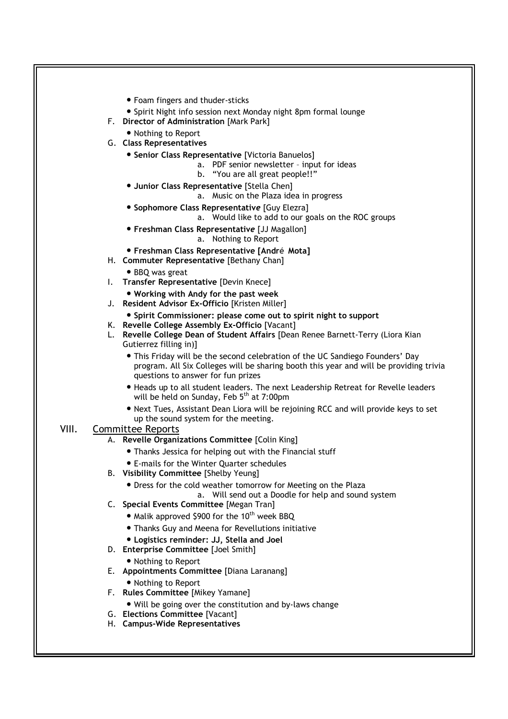- Foam fingers and thuder-sticks • Spirit Night info session next Monday night 8pm formal lounge F. Director of Administration [Mark Park] • Nothing to Report G. Class Representatives • Senior Class Representative [Victoria Banuelos] a. PDF senior newsletter – input for ideas b. "You are all great people!!" • Junior Class Representative [Stella Chen] a. Music on the Plaza idea in progress • Sophomore Class Representative [Guy Elezra] a. Would like to add to our goals on the ROC groups • Freshman Class Representative [JJ Magallon] a. Nothing to Report • Freshman Class Representative [André Mota] H. Commuter Representative [Bethany Chan] • BBQ was great I. Transfer Representative [Devin Knece] • Working with Andy for the past week J. Resident Advisor Ex-Officio [Kristen Miller] • Spirit Commissioner: please come out to spirit night to support K. Revelle College Assembly Ex-Officio [Vacant] L. Revelle College Dean of Student Affairs [Dean Renee Barnett-Terry (Liora Kian Gutierrez filling in)] • This Friday will be the second celebration of the UC Sandiego Founders' Day program. All Six Colleges will be sharing booth this year and will be providing trivia questions to answer for fun prizes • Heads up to all student leaders. The next Leadership Retreat for Revelle leaders will be held on Sunday, Feb 5<sup>th</sup> at 7:00pm • Next Tues, Assistant Dean Liora will be rejoining RCC and will provide keys to set up the sound system for the meeting. VIII. Committee Reports A. Revelle Organizations Committee [Colin King] • Thanks Jessica for helping out with the Financial stuff • E-mails for the Winter Quarter schedules B. Visibility Committee [Shelby Yeung] • Dress for the cold weather tomorrow for Meeting on the Plaza a. Will send out a Doodle for help and sound system C. Special Events Committee [Megan Tran] • Malik approved \$900 for the  $10^{th}$  week BBQ • Thanks Guy and Meena for Revellutions initiative • Logistics reminder: JJ, Stella and Joel D. Enterprise Committee [Joel Smith] • Nothing to Report E. Appointments Committee [Diana Laranang] • Nothing to Report F. Rules Committee [Mikey Yamane] • Will be going over the constitution and by-laws change G. Elections Committee [Vacant]
	- H. Campus-Wide Representatives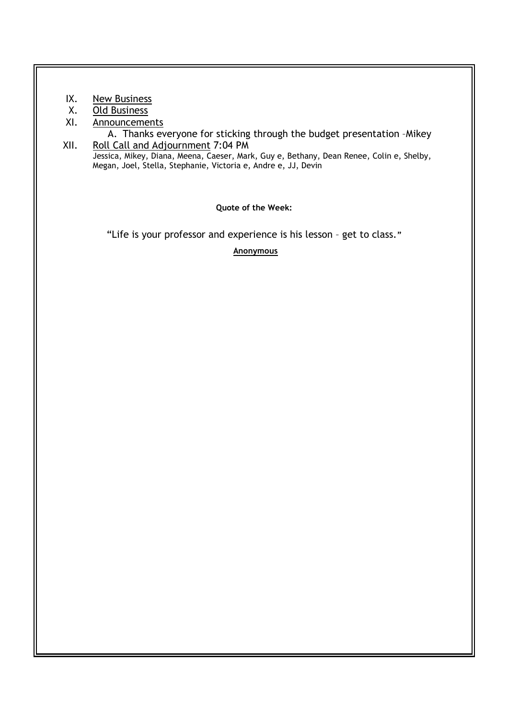- IX. New Business<br>X. Old Business
- X. Old Business<br>XI. Announcemer
- **Announcements**
- A. Thanks everyone for sticking through the budget presentation –Mikey XII. Roll Call and Adjournment 7:04 PM

Jessica, Mikey, Diana, Meena, Caeser, Mark, Guy e, Bethany, Dean Renee, Colin e, Shelby, Megan, Joel, Stella, Stephanie, Victoria e, Andre e, JJ, Devin

#### Quote of the Week:

"Life is your professor and experience is his lesson – get to class."

#### Anonymous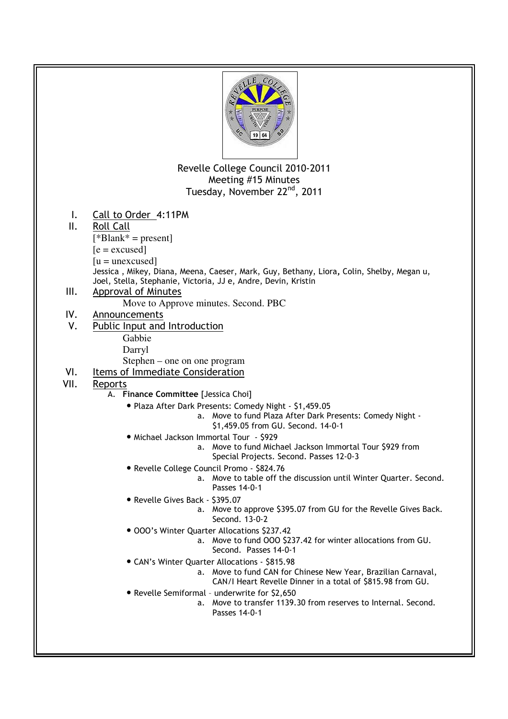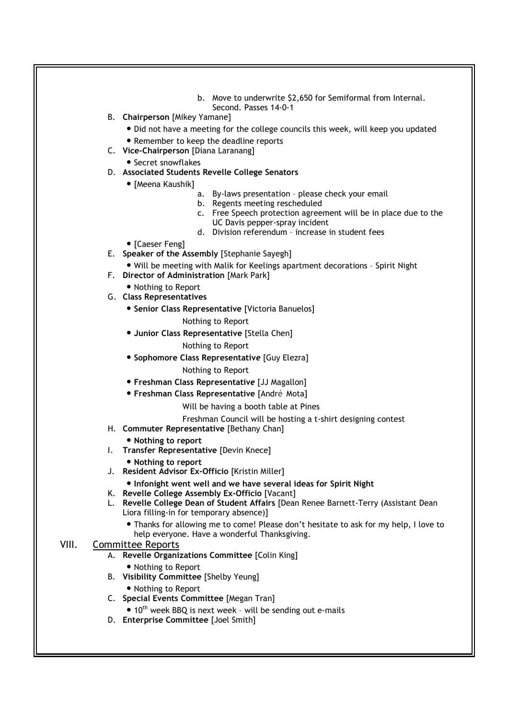- b. Move to underwrite \$2,650 for Semiformal from Internal. Second. Passes 14-0-1
- B. Chairperson [Mikey Yamane]
	- Did not have a meeting for the college councils this week, will keep you updated
	- Remember to keep the deadline reports
- C. Vice-Chairperson [Diana Laranang]
	- Secret snowflakes
- D. Associated Students Revelle College Senators
	- [Meena Kaushik]
		- a. By-laws presentation please check your email
		- b. Regents meeting rescheduled
		- c. Free Speech protection agreement will be in place due to the UC Davis pepper-spray incident
		- d. Division referendum increase in student fees
	- [Caeser Feng]
- E. Speaker of the Assembly [Stephanie Sayegh]
	- Will be meeting with Malik for Keelings apartment decorations Spirit Night
- F. Director of Administration [Mark Park]
	- Nothing to Report
- G. Class Representatives
	- Senior Class Representative [Victoria Banuelos] Nothing to Report
	- Junior Class Representative [Stella Chen]
		- Nothing to Report
	- Sophomore Class Representative [Guy Elezra]
		- Nothing to Report
	- Freshman Class Representative [JJ Magallon]
	- Freshman Class Representative [André Mota]
		- Will be having a booth table at Pines
		- Freshman Council will be hosting a t-shirt designing contest
- H. Commuter Representative [Bethany Chan]
	- Nothing to report
- I. Transfer Representative [Devin Knece]
	- Nothing to report
- J. Resident Advisor Ex-Officio [Kristin Miller]
	- Infonight went well and we have several ideas for Spirit Night
- K. Revelle College Assembly Ex-Officio [Vacant]
- L. Revelle College Dean of Student Affairs [Dean Renee Barnett-Terry (Assistant Dean Liora filling-in for temporary absence)]
	- Thanks for allowing me to come! Please don't hesitate to ask for my help, I love to help everyone. Have a wonderful Thanksgiving.

- A. Revelle Organizations Committee [Colin King]
	- Nothing to Report
- B. Visibility Committee [Shelby Yeung]
	- Nothing to Report
- C. Special Events Committee [Megan Tran]
	- $\bullet$  10<sup>th</sup> week BBQ is next week will be sending out e-mails
- D. Enterprise Committee [Joel Smith]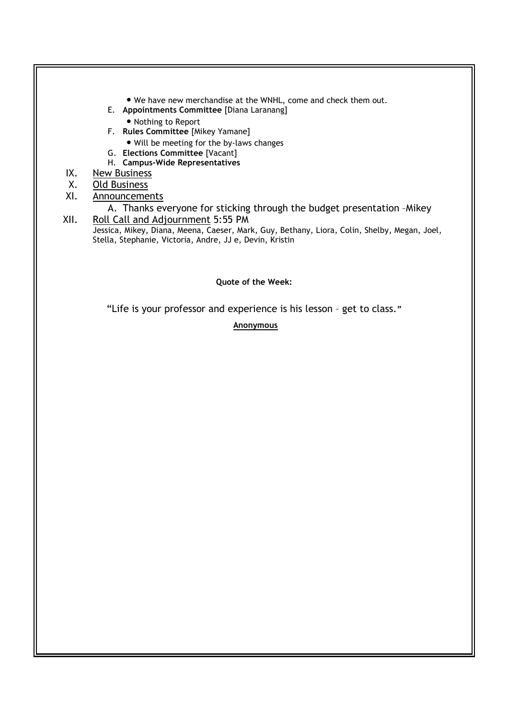- We have new merchandise at the WNHL, come and check them out.
- E. Appointments Committee [Diana Laranang]
	- Nothing to Report
- F. Rules Committee [Mikey Yamane]
	- Will be meeting for the by-laws changes
- G. Elections Committee [Vacant]
- H. Campus-Wide Representatives
- IX. New Business
- X. Old Business<br>XI. Announceme
- **Announcements**
- A. Thanks everyone for sticking through the budget presentation –Mikey XII. Roll Call and Adjournment 5:55 PM
- Jessica, Mikey, Diana, Meena, Caeser, Mark, Guy, Bethany, Liora, Colin, Shelby, Megan, Joel, Stella, Stephanie, Victoria, Andre, JJ e, Devin, Kristin

#### Quote of the Week:

"Life is your professor and experience is his lesson – get to class."

#### Anonymous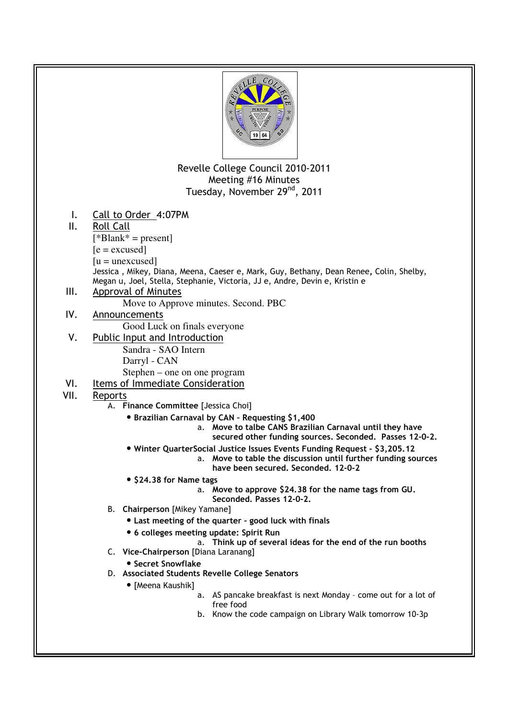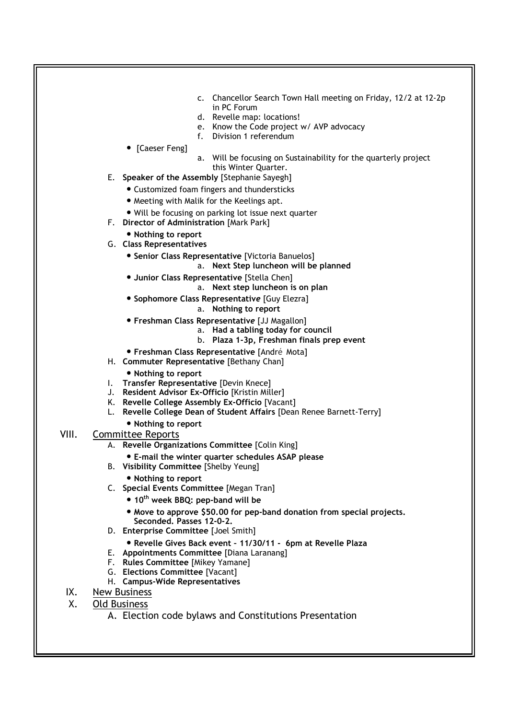- c. Chancellor Search Town Hall meeting on Friday, 12/2 at 12-2p in PC Forum
- d. Revelle map: locations!
- e. Know the Code project w/ AVP advocacy
- f. Division 1 referendum
- [Caeser Feng]
- a. Will be focusing on Sustainability for the quarterly project this Winter Quarter.
- E. Speaker of the Assembly [Stephanie Sayegh]
	- Customized foam fingers and thundersticks
	- Meeting with Malik for the Keelings apt.
	- Will be focusing on parking lot issue next quarter
- F. Director of Administration [Mark Park]
	- Nothing to report
- G. Class Representatives
	- Senior Class Representative [Victoria Banuelos] a. Next Step luncheon will be planned
	- Junior Class Representative [Stella Chen]
		- a. Next step luncheon is on plan
	- Sophomore Class Representative [Guy Elezra]
		- a. Nothing to report
	- Freshman Class Representative [JJ Magallon]
		- a. Had a tabling today for council
			- b. Plaza 1-3p, Freshman finals prep event
	- Freshman Class Representative [André Mota]
- H. Commuter Representative [Bethany Chan]
	- Nothing to report
- I. Transfer Representative [Devin Knece]
- J. Resident Advisor Ex-Officio [Kristin Miller]
- K. Revelle College Assembly Ex-Officio [Vacant]
- L. Revelle College Dean of Student Affairs [Dean Renee Barnett-Terry]
	- Nothing to report

- A. Revelle Organizations Committee [Colin King]
	- E-mail the winter quarter schedules ASAP please
- B. Visibility Committee [Shelby Yeung]
	- Nothing to report
- C. Special Events Committee [Megan Tran]
	- 10<sup>th</sup> week BBQ: pep-band will be
	- Move to approve \$50.00 for pep-band donation from special projects. Seconded. Passes 12-0-2.
- D. Enterprise Committee [Joel Smith]
	- Revelle Gives Back event 11/30/11 6pm at Revelle Plaza
- E. Appointments Committee [Diana Laranang]
- F. Rules Committee [Mikey Yamane]
- G. Elections Committee [Vacant]
- H. Campus-Wide Representatives
- IX. New Business
- X. Old Business
	- A. Election code bylaws and Constitutions Presentation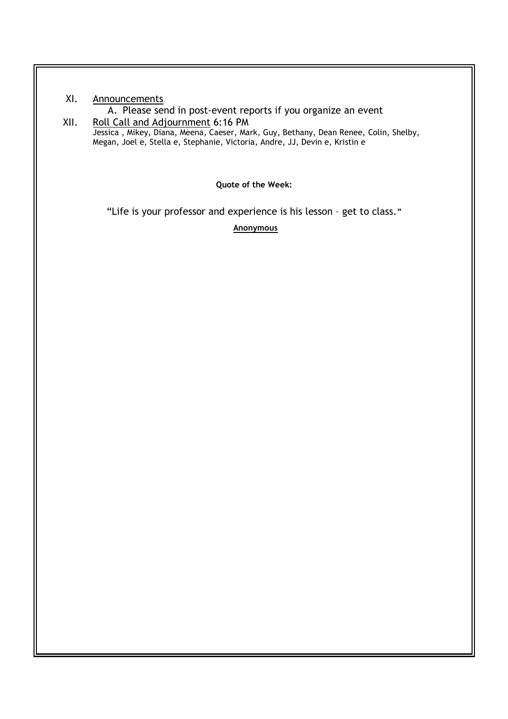# XI. Announcements

A. Please send in post-event reports if you organize an event XII. Roll Call and Adjournment 6:16 PM Jessica , Mikey, Diana, Meena, Caeser, Mark, Guy, Bethany, Dean Renee, Colin, Shelby, Megan, Joel e, Stella e, Stephanie, Victoria, Andre, JJ, Devin e, Kristin e

Quote of the Week:

"Life is your professor and experience is his lesson – get to class."

**Anonymous**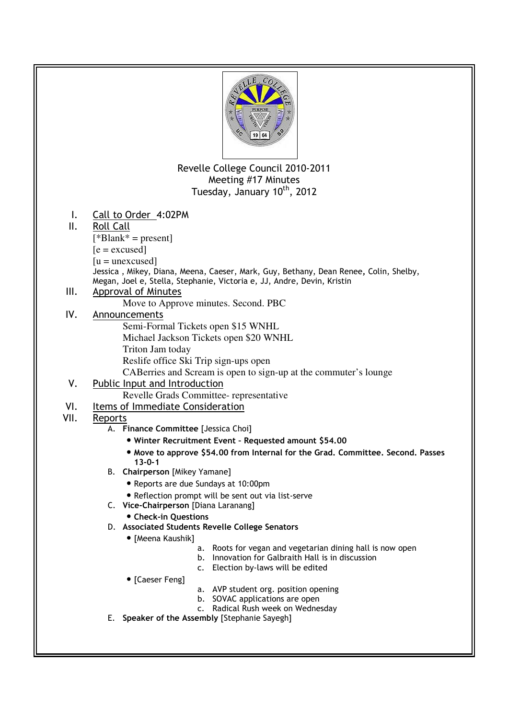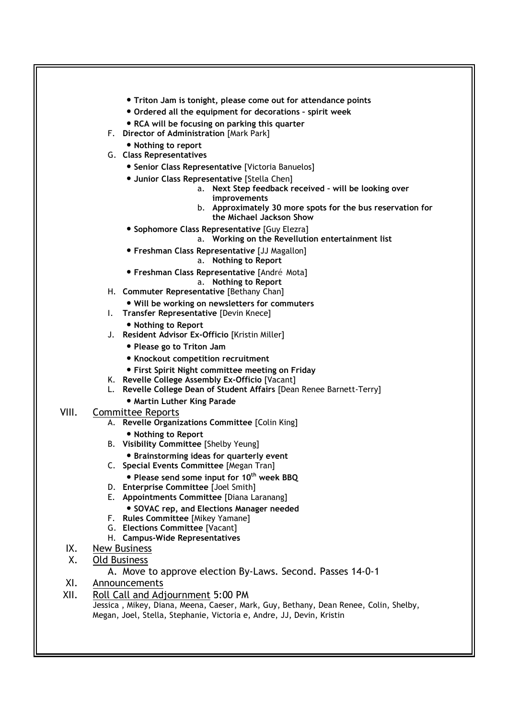| • Triton Jam is tonight, please come out for attendance points                                                                                                                     |
|------------------------------------------------------------------------------------------------------------------------------------------------------------------------------------|
| • Ordered all the equipment for decorations - spirit week                                                                                                                          |
| • RCA will be focusing on parking this quarter<br>F. Director of Administration [Mark Park]                                                                                        |
| • Nothing to report<br>G. Class Representatives                                                                                                                                    |
| • Senior Class Representative [Victoria Banuelos]                                                                                                                                  |
| • Junior Class Representative [Stella Chen]<br>a. Next Step feedback received - will be looking over<br>improvements<br>b. Approximately 30 more spots for the bus reservation for |
| the Michael Jackson Show                                                                                                                                                           |
| • Sophomore Class Representative [Guy Elezra]<br>a. Working on the Revellution entertainment list                                                                                  |
| • Freshman Class Representative [JJ Magallon]<br>a. Nothing to Report                                                                                                              |
| • Freshman Class Representative [André Mota]<br>a. Nothing to Report                                                                                                               |
| H. Commuter Representative [Bethany Chan]                                                                                                                                          |
| • Will be working on newsletters for commuters<br>Ι.<br>Transfer Representative [Devin Knece]                                                                                      |
| • Nothing to Report<br>J. Resident Advisor Ex-Officio [Kristin Miller]                                                                                                             |
| • Please go to Triton Jam                                                                                                                                                          |
| • Knockout competition recruitment                                                                                                                                                 |
| • First Spirit Night committee meeting on Friday<br>K. Revelle College Assembly Ex-Officio [Vacant]<br>L. Revelle College Dean of Student Affairs [Dean Renee Barnett-Terry]       |
| • Martin Luther King Parade                                                                                                                                                        |
| VIII.<br><b>Committee Reports</b>                                                                                                                                                  |
| A. Revelle Organizations Committee [Colin King]                                                                                                                                    |
| • Nothing to Report<br>B. Visibility Committee [Shelby Yeung]                                                                                                                      |
| • Brainstorming ideas for quarterly event<br>C. Special Events Committee [Megan Tran]                                                                                              |
| • Please send some input for 10 <sup>th</sup> week BBQ<br>D. Enterprise Committee [Joel Smith]<br>E. Appointments Committee [Diana Laranang]                                       |
| • SOVAC rep, and Elections Manager needed<br>F. Rules Committee [Mikey Yamane]<br>G. Elections Committee [Vacant]                                                                  |
| H. Campus-Wide Representatives                                                                                                                                                     |
| IX.<br><b>New Business</b>                                                                                                                                                         |
| Χ.<br><b>Old Business</b><br>A. Move to approve election By-Laws. Second. Passes 14-0-1                                                                                            |
| XI.<br>Announcements                                                                                                                                                               |
| XII.<br>Roll Call and Adjournment 5:00 PM<br>Jessica, Mikey, Diana, Meena, Caeser, Mark, Guy, Bethany, Dean Renee, Colin, Shelby,                                                  |
| Megan, Joel, Stella, Stephanie, Victoria e, Andre, JJ, Devin, Kristin                                                                                                              |
|                                                                                                                                                                                    |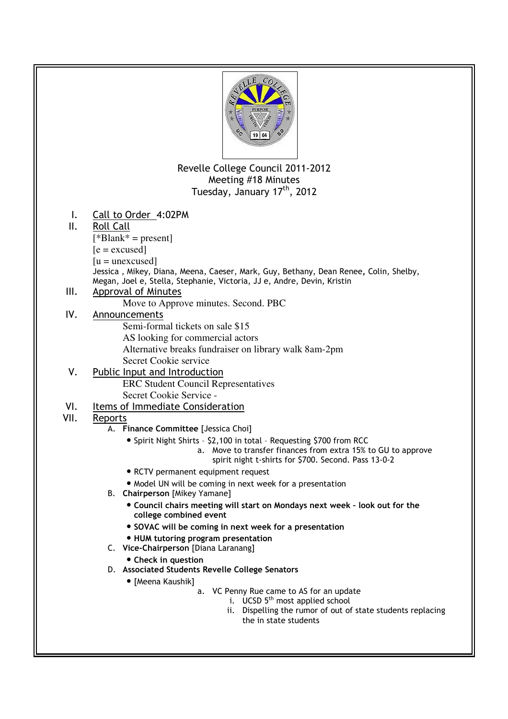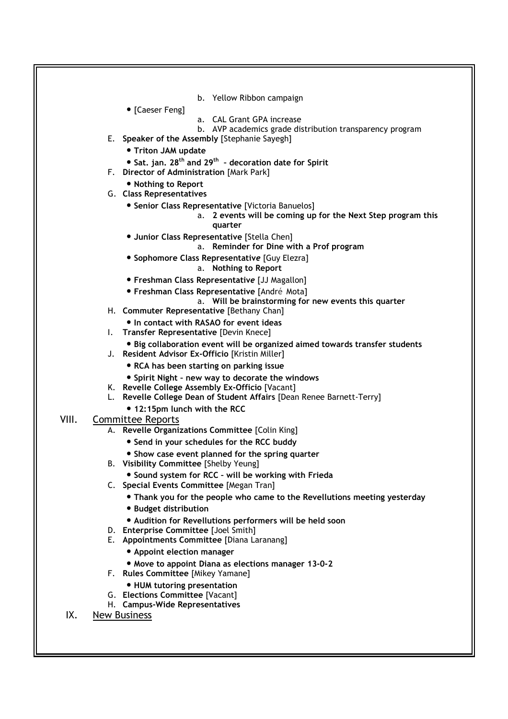|       | b. Yellow Ribbon campaign                                                                                                   |
|-------|-----------------------------------------------------------------------------------------------------------------------------|
|       | • [Caeser Feng]                                                                                                             |
|       | a. CAL Grant GPA increase<br>b. AVP academics grade distribution transparency program                                       |
|       | E. Speaker of the Assembly [Stephanie Sayegh]                                                                               |
|       | • Triton JAM update                                                                                                         |
|       |                                                                                                                             |
|       | • Sat. jan. 28 <sup>th</sup> and 29 <sup>th</sup> - decoration date for Spirit<br>F. Director of Administration [Mark Park] |
|       | • Nothing to Report                                                                                                         |
|       | G. Class Representatives                                                                                                    |
|       | • Senior Class Representative [Victoria Banuelos]                                                                           |
|       | a. 2 events will be coming up for the Next Step program this                                                                |
|       | quarter                                                                                                                     |
|       | • Junior Class Representative [Stella Chen]                                                                                 |
|       | a. Reminder for Dine with a Prof program                                                                                    |
|       | • Sophomore Class Representative [Guy Elezra]                                                                               |
|       | a. Nothing to Report                                                                                                        |
|       | • Freshman Class Representative [JJ Magallon]                                                                               |
|       | · Freshman Class Representative [André Mota]                                                                                |
|       | a. Will be brainstorming for new events this quarter                                                                        |
|       | H. Commuter Representative [Bethany Chan]                                                                                   |
|       | • In contact with RASAO for event ideas                                                                                     |
|       | I. Transfer Representative [Devin Knece]                                                                                    |
|       | • Big collaboration event will be organized aimed towards transfer students                                                 |
|       | J. Resident Advisor Ex-Officio [Kristin Miller]                                                                             |
|       | • RCA has been starting on parking issue                                                                                    |
|       | • Spirit Night - new way to decorate the windows<br>K. Revelle College Assembly Ex-Officio [Vacant]                         |
|       | L. Revelle College Dean of Student Affairs [Dean Renee Barnett-Terry]                                                       |
|       | • 12:15pm lunch with the RCC                                                                                                |
| VIII. | <b>Committee Reports</b>                                                                                                    |
|       | A. Revelle Organizations Committee [Colin King]                                                                             |
|       | • Send in your schedules for the RCC buddy                                                                                  |
|       | • Show case event planned for the spring quarter                                                                            |
|       | B. Visibility Committee [Shelby Yeung]                                                                                      |
|       | • Sound system for RCC - will be working with Frieda                                                                        |
|       | C. Special Events Committee [Megan Tran]                                                                                    |
|       | • Thank you for the people who came to the Revellutions meeting yesterday                                                   |
|       | • Budget distribution                                                                                                       |
|       | . Audition for Revellutions performers will be held soon                                                                    |
|       | D. Enterprise Committee [Joel Smith]                                                                                        |
|       | E. Appointments Committee [Diana Laranang]                                                                                  |
|       | • Appoint election manager                                                                                                  |
|       | • Move to appoint Diana as elections manager 13-0-2                                                                         |
|       | F. Rules Committee [Mikey Yamane]                                                                                           |
|       | • HUM tutoring presentation                                                                                                 |
|       | G. Elections Committee [Vacant]                                                                                             |
|       | H. Campus-Wide Representatives                                                                                              |
| IX.   | New Business                                                                                                                |
|       |                                                                                                                             |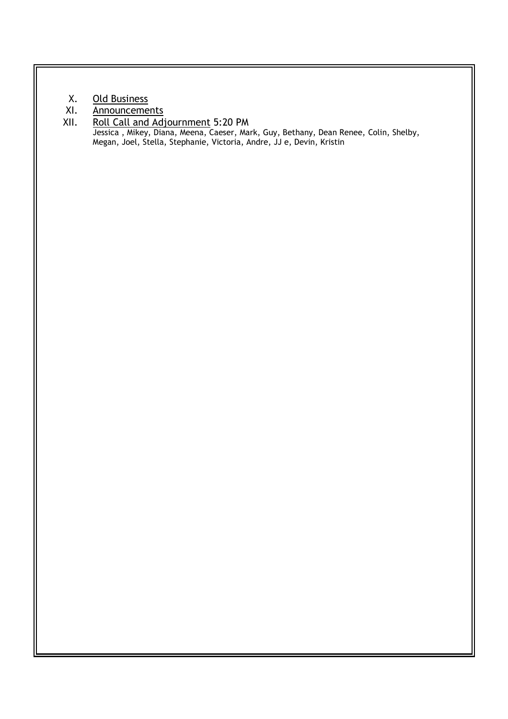# X. Old Business<br>XI. Announceme

# XI. Announcements<br>XII. Roll Call and Ad

Roll Call and Adjournment 5:20 PM

Jessica , Mikey, Diana, Meena, Caeser, Mark, Guy, Bethany, Dean Renee, Colin, Shelby, Megan, Joel, Stella, Stephanie, Victoria, Andre, JJ e, Devin, Kristin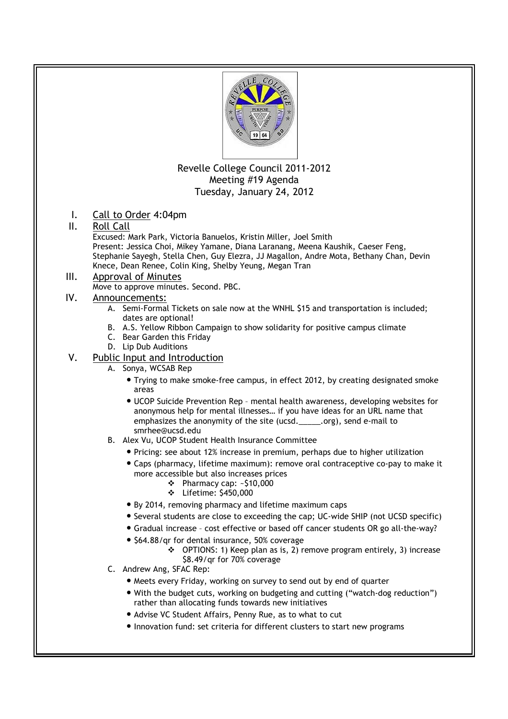

### Revelle College Council 2011-2012 Meeting #19 Agenda Tuesday, January 24, 2012

- I. Call to Order 4:04pm
- II. Roll Call
	- Excused: Mark Park, Victoria Banuelos, Kristin Miller, Joel Smith Present: Jessica Choi, Mikey Yamane, Diana Laranang, Meena Kaushik, Caeser Feng, Stephanie Sayegh, Stella Chen, Guy Elezra, JJ Magallon, Andre Mota, Bethany Chan, Devin Knece, Dean Renee, Colin King, Shelby Yeung, Megan Tran
- III. Approval of Minutes Move to approve minutes. Second. PBC.

- IV. Announcements:
	- A. Semi-Formal Tickets on sale now at the WNHL \$15 and transportation is included; dates are optional!
	- B. A.S. Yellow Ribbon Campaign to show solidarity for positive campus climate
	- C. Bear Garden this Friday
	- D. Lip Dub Auditions
- V. Public Input and Introduction
	- A. Sonya, WCSAB Rep
		- Trying to make smoke-free campus, in effect 2012, by creating designated smoke areas
		- UCOP Suicide Prevention Rep mental health awareness, developing websites for anonymous help for mental illnesses… if you have ideas for an URL name that emphasizes the anonymity of the site (ucsd.\_\_\_\_\_.org), send e-mail to smrhee@ucsd.edu
	- B. Alex Vu, UCOP Student Health Insurance Committee
		- Pricing: see about 12% increase in premium, perhaps due to higher utilization
		- Caps (pharmacy, lifetime maximum): remove oral contraceptive co-pay to make it more accessible but also increases prices
			- Pharmacy cap: ~\$10,000
			- Lifetime: \$450,000
		- By 2014, removing pharmacy and lifetime maximum caps
		- Several students are close to exceeding the cap; UC-wide SHIP (not UCSD specific)
		- Gradual increase cost effective or based off cancer students OR go all-the-way?
		- \$64.88/qr for dental insurance, 50% coverage
			- $\div$  OPTIONS: 1) Keep plan as is, 2) remove program entirely, 3) increase \$8.49/qr for 70% coverage
	- C. Andrew Ang, SFAC Rep:
		- Meets every Friday, working on survey to send out by end of quarter
		- With the budget cuts, working on budgeting and cutting ("watch-dog reduction") rather than allocating funds towards new initiatives
		- Advise VC Student Affairs, Penny Rue, as to what to cut
		- Innovation fund: set criteria for different clusters to start new programs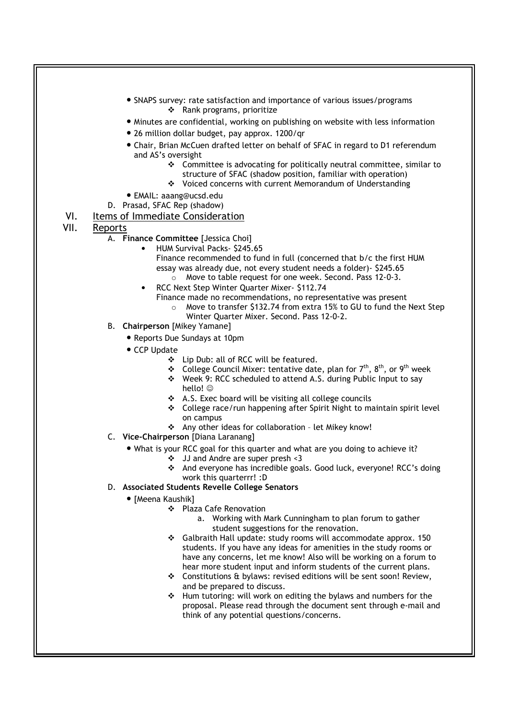| • SNAPS survey: rate satisfaction and importance of various issues/programs<br>❖ Rank programs, prioritize                                                                                               |
|----------------------------------------------------------------------------------------------------------------------------------------------------------------------------------------------------------|
| • Minutes are confidential, working on publishing on website with less information                                                                                                                       |
| • 26 million dollar budget, pay approx. 1200/qr                                                                                                                                                          |
| • Chair, Brian McCuen drafted letter on behalf of SFAC in regard to D1 referendum                                                                                                                        |
| and AS's oversight                                                                                                                                                                                       |
| ❖ Committee is advocating for politically neutral committee, similar to<br>structure of SFAC (shadow position, familiar with operation)<br>Voiced concerns with current Memorandum of Understanding<br>❖ |
| • EMAIL: aaang@ucsd.edu                                                                                                                                                                                  |
| D. Prasad, SFAC Rep (shadow)                                                                                                                                                                             |
| VI.<br>Items of Immediate Consideration                                                                                                                                                                  |
| VII.<br>Reports                                                                                                                                                                                          |
| A. Finance Committee [Jessica Choi]                                                                                                                                                                      |
| HUM Survival Packs- \$245.65<br>Finance recommended to fund in full (concerned that b/c the first HUM                                                                                                    |
| essay was already due, not every student needs a folder)- \$245.65                                                                                                                                       |
| Move to table request for one week. Second. Pass 12-0-3.<br>$\circ$                                                                                                                                      |
| RCC Next Step Winter Quarter Mixer- \$112.74                                                                                                                                                             |
| Finance made no recommendations, no representative was present                                                                                                                                           |
| Move to transfer \$132.74 from extra 15% to GU to fund the Next Step<br>$\circ$<br>Winter Quarter Mixer. Second. Pass 12-0-2.                                                                            |
| B. Chairperson [Mikey Yamane]                                                                                                                                                                            |
| • Reports Due Sundays at 10pm                                                                                                                                                                            |
| • CCP Update                                                                                                                                                                                             |
| ❖ Lip Dub: all of RCC will be featured.                                                                                                                                                                  |
| ◆ College Council Mixer: tentative date, plan for $7th$ , $8th$ , or $9th$ week                                                                                                                          |
| ❖ Week 9: RCC scheduled to attend A.S. during Public Input to say                                                                                                                                        |
| hello! $\circledcirc$<br>❖ A.S. Exec board will be visiting all college councils                                                                                                                         |
| * College race/run happening after Spirit Night to maintain spirit level                                                                                                                                 |
| on campus                                                                                                                                                                                                |
| * Any other ideas for collaboration - let Mikey know!                                                                                                                                                    |
| C. Vice-Chairperson [Diana Laranang]                                                                                                                                                                     |
| . What is your RCC goal for this quarter and what are you doing to achieve it?                                                                                                                           |
| ❖ JJ and Andre are super presh <3<br>And everyone has incredible goals. Good luck, everyone! RCC's doing                                                                                                 |
| work this quarterrr! :D                                                                                                                                                                                  |
| D. Associated Students Revelle College Senators                                                                                                                                                          |
| • [Meena Kaushik]                                                                                                                                                                                        |
| ❖ Plaza Cafe Renovation                                                                                                                                                                                  |
| a. Working with Mark Cunningham to plan forum to gather                                                                                                                                                  |
| student suggestions for the renovation.<br>Galbraith Hall update: study rooms will accommodate approx. 150                                                                                               |
| students. If you have any ideas for amenities in the study rooms or                                                                                                                                      |
| have any concerns, let me know! Also will be working on a forum to                                                                                                                                       |
| hear more student input and inform students of the current plans.                                                                                                                                        |
| Constitutions & bylaws: revised editions will be sent soon! Review,<br>❖                                                                                                                                 |
| and be prepared to discuss.<br>Hum tutoring: will work on editing the bylaws and numbers for the<br>❖                                                                                                    |
| proposal. Please read through the document sent through e-mail and                                                                                                                                       |

think of any potential questions/concerns.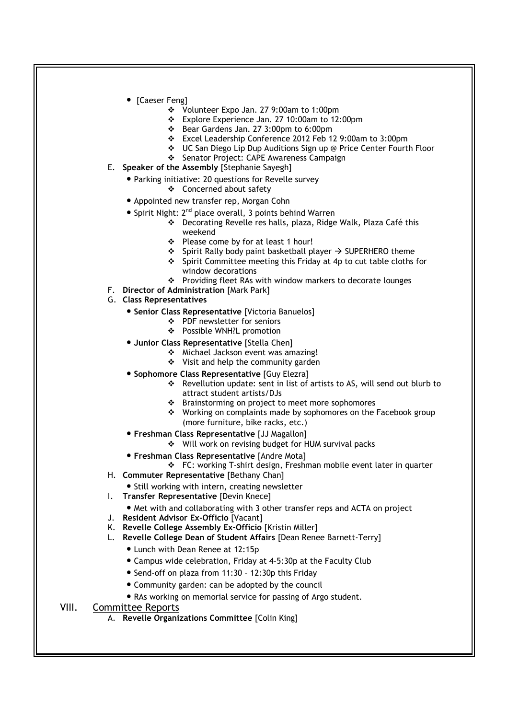- [Caeser Feng]
	- Volunteer Expo Jan. 27 9:00am to 1:00pm
	- Explore Experience Jan. 27 10:00am to 12:00pm
	- Bear Gardens Jan. 27 3:00pm to 6:00pm
	- Excel Leadership Conference 2012 Feb 12 9:00am to 3:00pm
	- UC San Diego Lip Dup Auditions Sign up @ Price Center Fourth Floor
	- Senator Project: CAPE Awareness Campaign
- E. Speaker of the Assembly [Stephanie Sayegh]
	- Parking initiative: 20 questions for Revelle survey
		- ❖ Concerned about safety
	- Appointed new transfer rep, Morgan Cohn
	- Spirit Night: 2<sup>nd</sup> place overall, 3 points behind Warren
		- Decorating Revelle res halls, plaza, Ridge Walk, Plaza Café this weekend
		- ❖ Please come by for at least 1 hour!
		- $\div$  Spirit Rally body paint basketball player  $\rightarrow$  SUPERHERO theme
		- Spirit Committee meeting this Friday at 4p to cut table cloths for window decorations
		- ❖ Providing fleet RAs with window markers to decorate lounges
- F. Director of Administration [Mark Park]
- G. Class Representatives
	- Senior Class Representative [Victoria Banuelos]
		- PDF newsletter for seniors
		- Possible WNH?L promotion
	- Junior Class Representative [Stella Chen]
		- ❖ Michael Jackson event was amazing!
		- ❖ Visit and help the community garden
	- Sophomore Class Representative [Guy Elezra]
		- Revellution update: sent in list of artists to AS, will send out blurb to attract student artists/DJs
		- Brainstorming on project to meet more sophomores
		- \* Working on complaints made by sophomores on the Facebook group (more furniture, bike racks, etc.)
	- Freshman Class Representative [JJ Magallon]
		- Will work on revising budget for HUM survival packs
	- Freshman Class Representative [Andre Mota]
	- FC: working T-shirt design, Freshman mobile event later in quarter
- H. Commuter Representative [Bethany Chan]
	- Still working with intern, creating newsletter
- I. Transfer Representative [Devin Knece]
	- Met with and collaborating with 3 other transfer reps and ACTA on project
- J. Resident Advisor Ex-Officio [Vacant]
- K. Revelle College Assembly Ex-Officio [Kristin Miller]
- L. Revelle College Dean of Student Affairs [Dean Renee Barnett-Terry]
	- Lunch with Dean Renee at 12:15p
	- Campus wide celebration, Friday at 4-5:30p at the Faculty Club
	- Send-off on plaza from 11:30 12:30p this Friday
	- Community garden: can be adopted by the council
	- RAs working on memorial service for passing of Argo student.

A. Revelle Organizations Committee [Colin King]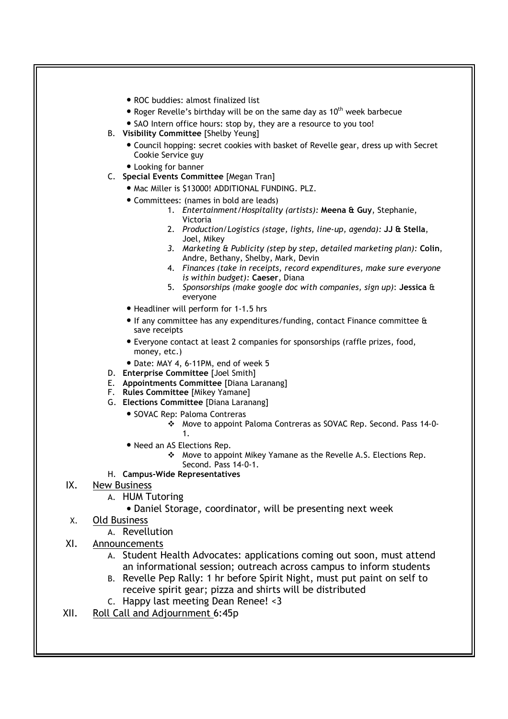| • ROC buddies: almost finalized list                                                                          |                                                                                     |
|---------------------------------------------------------------------------------------------------------------|-------------------------------------------------------------------------------------|
| • Roger Revelle's birthday will be on the same day as 10 <sup>th</sup> week barbecue                          |                                                                                     |
| • SAO Intern office hours: stop by, they are a resource to you too!<br>B. Visibility Committee [Shelby Yeung] |                                                                                     |
| Cookie Service guy                                                                                            | • Council hopping: secret cookies with basket of Revelle gear, dress up with Secret |
| • Looking for banner<br>C. Special Events Committee [Megan Tran]                                              |                                                                                     |
| · Mac Miller is \$13000! ADDITIONAL FUNDING. PLZ.                                                             |                                                                                     |
| • Committees: (names in bold are leads)                                                                       |                                                                                     |
| Victoria                                                                                                      | 1. Entertainment/Hospitality (artists): Meena & Guy, Stephanie,                     |
| Joel, Mikey                                                                                                   | 2. Production/Logistics (stage, lights, line-up, agenda): JJ & Stella,              |
| Andre, Bethany, Shelby, Mark, Devin                                                                           | 3. Marketing & Publicity (step by step, detailed marketing plan): Colin,            |
| is within budget): Caeser, Diana                                                                              | 4. Finances (take in receipts, record expenditures, make sure everyone              |
| everyone                                                                                                      | 5. Sponsorships (make google doc with companies, sign up): Jessica &                |
| • Headliner will perform for 1-1.5 hrs                                                                        |                                                                                     |
| save receipts                                                                                                 | If any committee has any expenditures/funding, contact Finance committee $\hat{a}$  |
| money, etc.)                                                                                                  | • Everyone contact at least 2 companies for sponsorships (raffle prizes, food,      |
| • Date: MAY 4, 6-11PM, end of week 5                                                                          |                                                                                     |
| D. Enterprise Committee [Joel Smith]                                                                          |                                                                                     |
| E. Appointments Committee [Diana Laranang]<br>F. Rules Committee [Mikey Yamane]                               |                                                                                     |
| G. Elections Committee [Diana Laranang]                                                                       |                                                                                     |
| • SOVAC Rep: Paloma Contreras                                                                                 |                                                                                     |
| ❖                                                                                                             | Move to appoint Paloma Contreras as SOVAC Rep. Second. Pass 14-0-                   |
| 1.                                                                                                            |                                                                                     |
| • Need an AS Elections Rep.                                                                                   | Move to appoint Mikey Yamane as the Revelle A.S. Elections Rep.                     |
| Second. Pass 14-0-1.                                                                                          |                                                                                     |
| H. Campus-Wide Representatives                                                                                |                                                                                     |
| IX.<br><b>New Business</b>                                                                                    |                                                                                     |
| A. HUM Tutoring                                                                                               |                                                                                     |
| • Daniel Storage, coordinator, will be presenting next week                                                   |                                                                                     |
| <b>Old Business</b><br>Χ.<br>A. Revellution                                                                   |                                                                                     |
| XI.<br>Announcements                                                                                          |                                                                                     |
|                                                                                                               | A. Student Health Advocates: applications coming out soon, must attend              |
|                                                                                                               | an informational session; outreach across campus to inform students                 |
| B. Revelle Pep Rally: 1 hr before Spirit Night, must put paint on self to                                     |                                                                                     |
| receive spirit gear; pizza and shirts will be distributed                                                     |                                                                                     |
| C. Happy last meeting Dean Renee! <3                                                                          |                                                                                     |
| XII.<br>Roll Call and Adjournment 6:45p                                                                       |                                                                                     |
|                                                                                                               |                                                                                     |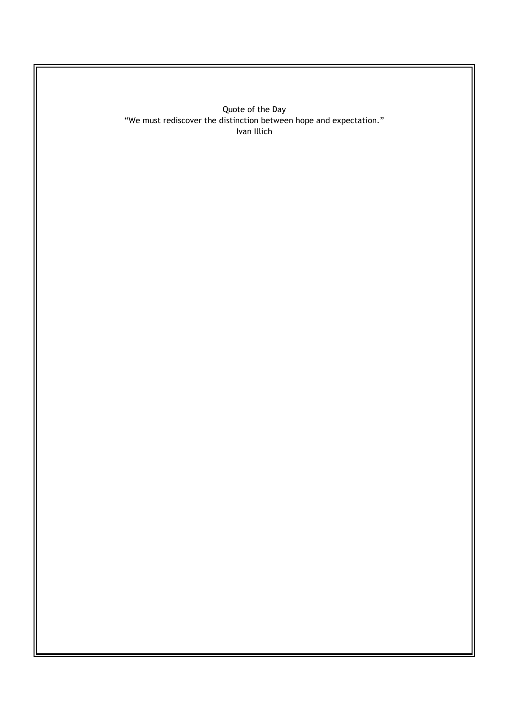Quote of the Day "We must rediscover the distinction between hope and expectation." Ivan Illich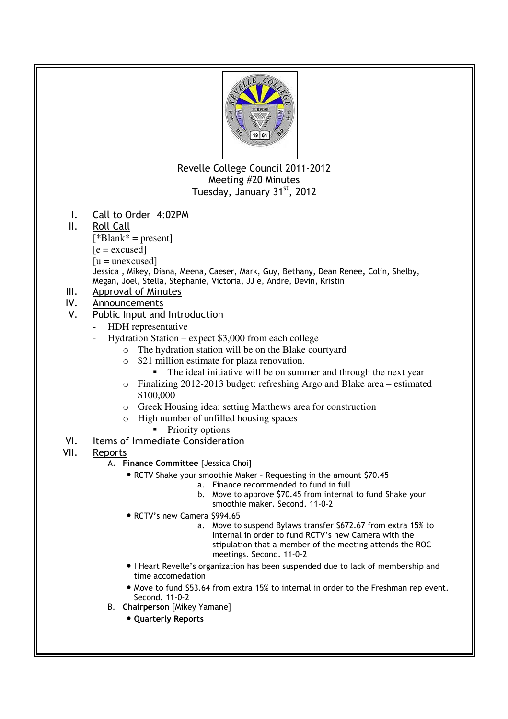

- B. Chairperson [Mikey Yamane]
	- Quarterly Reports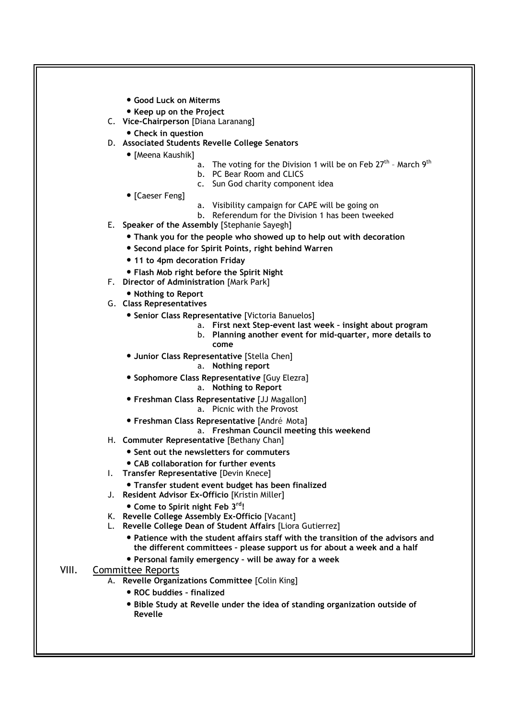- Good Luck on Miterms
- Keep up on the Project
- C. Vice-Chairperson [Diana Laranang]
	- Check in question
- D. Associated Students Revelle College Senators
	- [Meena Kaushik]
		- a. The voting for the Division 1 will be on Feb  $27<sup>th</sup>$  March 9<sup>th</sup>
		- b. PC Bear Room and CLICS
		- c. Sun God charity component idea
	- [Caeser Feng]
- a. Visibility campaign for CAPE will be going on
- b. Referendum for the Division 1 has been tweeked
- E. Speaker of the Assembly [Stephanie Sayegh]
	- Thank you for the people who showed up to help out with decoration
	- Second place for Spirit Points, right behind Warren
	- 11 to 4pm decoration Fridav
	- Flash Mob right before the Spirit Night
- F. Director of Administration [Mark Park]
	- Nothing to Report
- G. Class Representatives
	- Senior Class Representative [Victoria Banuelos]
		- a. First next Step-event last week insight about program
			- b. Planning another event for mid-quarter, more details to
		- come
	- Junior Class Representative [Stella Chen]
		- a. Nothing report
	- Sophomore Class Representative [Guy Elezra] a. Nothing to Report
	- Freshman Class Representative [JJ Magallon]
		- a. Picnic with the Provost
	- Freshman Class Representative [André Mota]
		- a. Freshman Council meeting this weekend
- H. Commuter Representative [Bethany Chan]
	- Sent out the newsletters for commuters
	- CAB collaboration for further events
- I. Transfer Representative [Devin Knece]
	- Transfer student event budget has been finalized
- J. Resident Advisor Ex-Officio [Kristin Miller]
	- Come to Spirit night Feb 3<sup>rd</sup>!
- K. Revelle College Assembly Ex-Officio [Vacant]
- L. Revelle College Dean of Student Affairs [Liora Gutierrez]
	- Patience with the student affairs staff with the transition of the advisors and the different committees – please support us for about a week and a half
	- Personal family emergency will be away for a week

- A. Revelle Organizations Committee [Colin King]
	- ROC buddies finalized
	- Bible Study at Revelle under the idea of standing organization outside of Revelle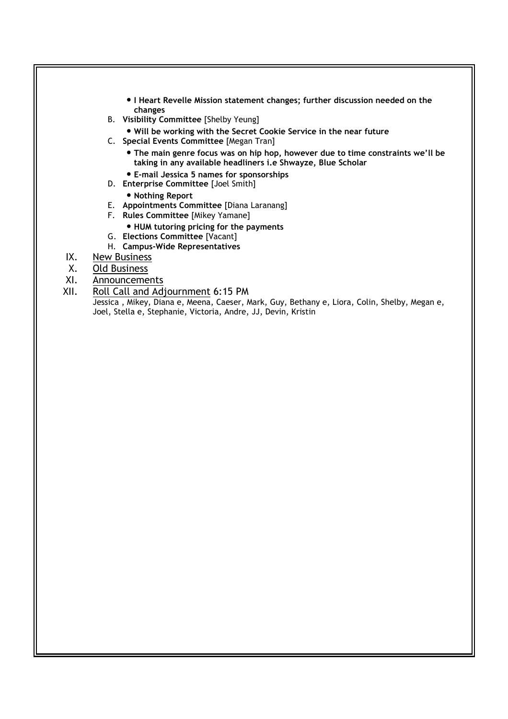|     | . I Heart Revelle Mission statement changes; further discussion needed on the<br>changes                                                        |
|-----|-------------------------------------------------------------------------------------------------------------------------------------------------|
|     | B. Visibility Committee [Shelby Yeung]                                                                                                          |
|     | • Will be working with the Secret Cookie Service in the near future                                                                             |
|     | C. Special Events Committee [Megan Tran]                                                                                                        |
|     | • The main genre focus was on hip hop, however due to time constraints we'll be<br>taking in any available headliners i.e Shwayze, Blue Scholar |
|     | • E-mail Jessica 5 names for sponsorships                                                                                                       |
|     | D. Enterprise Committee [Joel Smith]                                                                                                            |
|     | • Nothing Report                                                                                                                                |
|     | E. Appointments Committee [Diana Laranang]                                                                                                      |
|     | F. Rules Committee [Mikey Yamane]                                                                                                               |
|     | • HUM tutoring pricing for the payments                                                                                                         |
|     | G. Elections Committee [Vacant]                                                                                                                 |
|     | H. Campus-Wide Representatives                                                                                                                  |
| IX. | New Business                                                                                                                                    |
| Χ.  | <b>Old Business</b>                                                                                                                             |
| XI. | Announcements                                                                                                                                   |
| ΧIJ | Roll Call and Adjournment 6:15 PM                                                                                                               |

XII. Roll Call and Adjournment 6:15 PM Jessica , Mikey, Diana e, Meena, Caeser, Mark, Guy, Bethany e, Liora, Colin, Shelby, Megan e, Joel, Stella e, Stephanie, Victoria, Andre, JJ, Devin, Kristin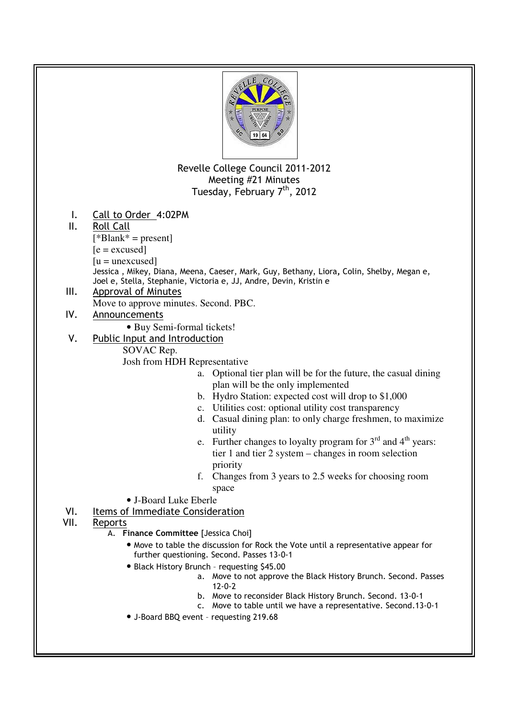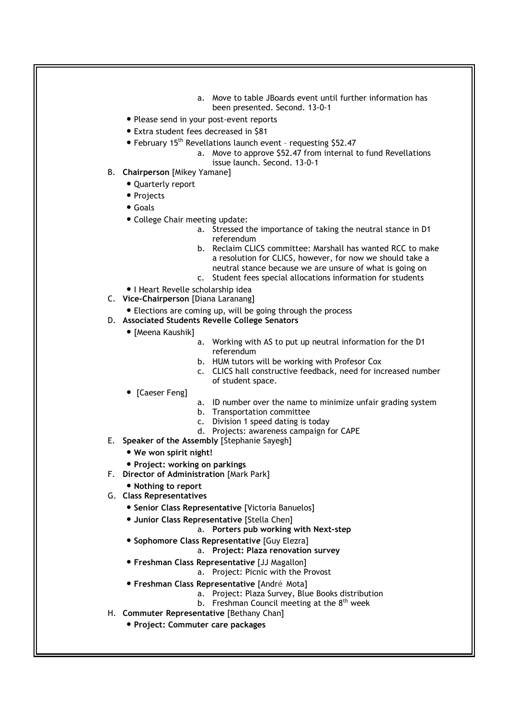- a. Move to table JBoards event until further information has been presented. Second. 13-0-1
- Please send in your post-event reports
- Extra student fees decreased in \$81
- February 15<sup>th</sup> Revellations launch event requesting \$52.47
	- a. Move to approve \$52.47 from internal to fund Revellations issue launch. Second. 13-0-1
- B. Chairperson [Mikey Yamane]
	- Quarterly report
	- Projects
	- Goals
	- College Chair meeting update:
		- a. Stressed the importance of taking the neutral stance in D1 referendum
		- b. Reclaim CLICS committee: Marshall has wanted RCC to make a resolution for CLICS, however, for now we should take a neutral stance because we are unsure of what is going on
		- c. Student fees special allocations information for students
	- I Heart Revelle scholarship idea
- C. Vice-Chairperson [Diana Laranang]
	- Elections are coming up, will be going through the process
- D. Associated Students Revelle College Senators
	- [Meena Kaushik]
		- a. Working with AS to put up neutral information for the D1 referendum
		- b. HUM tutors will be working with Profesor Cox
		- c. CLICS hall constructive feedback, need for increased number of student space.
	- [Caeser Feng]
- a. ID number over the name to minimize unfair grading system
- b. Transportation committee
- c. Division 1 speed dating is today
- d. Projects: awareness campaign for CAPE
- E. Speaker of the Assembly [Stephanie Sayegh]
	- We won spirit night!
	- Project: working on parkings
- F. Director of Administration [Mark Park]
	- Nothing to report
- G. Class Representatives
	- Senior Class Representative [Victoria Banuelos]
	- Junior Class Representative [Stella Chen]
		- a. Porters pub working with Next-step
	- Sophomore Class Representative [Guy Elezra]
		- a. Project: Plaza renovation survey
	- Freshman Class Representative [JJ Magallon]
		- a. Project: Picnic with the Provost
	- Freshman Class Representative [André Mota]
		- a. Project: Plaza Survey, Blue Books distribution
		- b. Freshman Council meeting at the  $8<sup>th</sup>$  week
- H. Commuter Representative [Bethany Chan]
	- Project: Commuter care packages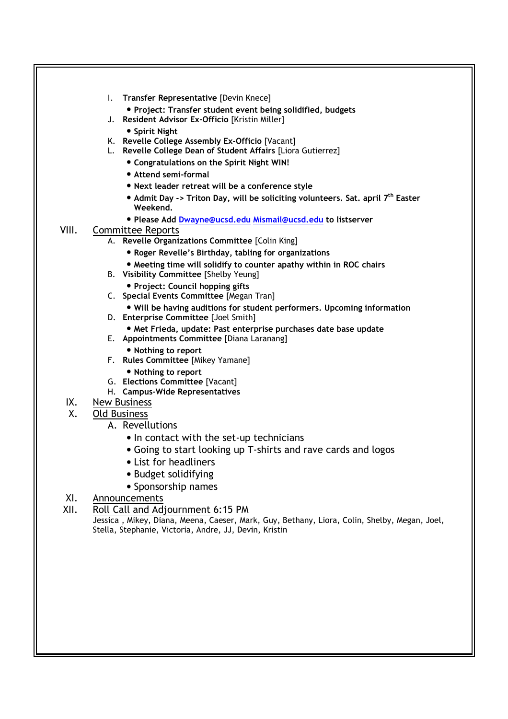|       | Transfer Representative [Devin Knece]<br>L.                                                                                                            |
|-------|--------------------------------------------------------------------------------------------------------------------------------------------------------|
|       | • Project: Transfer student event being solidified, budgets                                                                                            |
|       | J. Resident Advisor Ex-Officio [Kristin Miller]<br>• Spirit Night                                                                                      |
|       | K. Revelle College Assembly Ex-Officio [Vacant]                                                                                                        |
|       | L. Revelle College Dean of Student Affairs [Liora Gutierrez]                                                                                           |
|       | • Congratulations on the Spirit Night WIN!                                                                                                             |
|       | • Attend semi-formal                                                                                                                                   |
|       | • Next leader retreat will be a conference style                                                                                                       |
|       | • Admit Day -> Triton Day, will be soliciting volunteers. Sat. april 7 <sup>th</sup> Easter<br>Weekend.                                                |
|       | · Please Add Dwayne@ucsd.edu Mismail@ucsd.edu to listserver                                                                                            |
| VIII. | <b>Committee Reports</b>                                                                                                                               |
|       | A. Revelle Organizations Committee [Colin King]                                                                                                        |
|       | • Roger Revelle's Birthday, tabling for organizations                                                                                                  |
|       | • Meeting time will solidify to counter apathy within in ROC chairs<br>B. Visibility Committee [Shelby Yeung]                                          |
|       | • Project: Council hopping gifts                                                                                                                       |
|       | C. Special Events Committee [Megan Tran]                                                                                                               |
|       | . Will be having auditions for student performers. Upcoming information<br>D. Enterprise Committee [Joel Smith]                                        |
|       | · Met Frieda, update: Past enterprise purchases date base update                                                                                       |
|       | E. Appointments Committee [Diana Laranang]                                                                                                             |
|       | • Nothing to report<br>F. Rules Committee [Mikey Yamane]                                                                                               |
|       | • Nothing to report                                                                                                                                    |
|       | G. Elections Committee [Vacant]                                                                                                                        |
|       | H. Campus-Wide Representatives                                                                                                                         |
| IX.   | <b>New Business</b>                                                                                                                                    |
| Χ.    | <b>Old Business</b>                                                                                                                                    |
|       | A. Revellutions                                                                                                                                        |
|       | • In contact with the set-up technicians                                                                                                               |
|       | Going to start looking up T-shirts and rave cards and logos                                                                                            |
|       | • List for headliners                                                                                                                                  |
|       | • Budget solidifying                                                                                                                                   |
|       | • Sponsorship names                                                                                                                                    |
|       | Announcements                                                                                                                                          |
| XI.   |                                                                                                                                                        |
| XII.  | Roll Call and Adjournment 6:15 PM                                                                                                                      |
|       | Jessica, Mikey, Diana, Meena, Caeser, Mark, Guy, Bethany, Liora, Colin, Shelby, Megan, Joel,<br>Stella, Stephanie, Victoria, Andre, JJ, Devin, Kristin |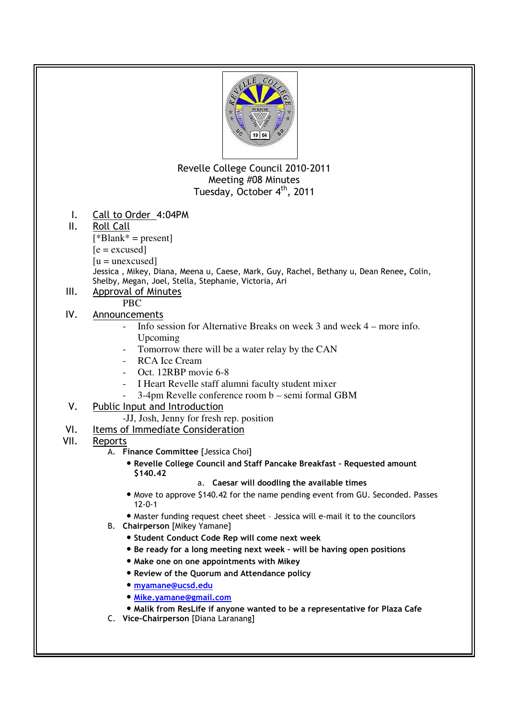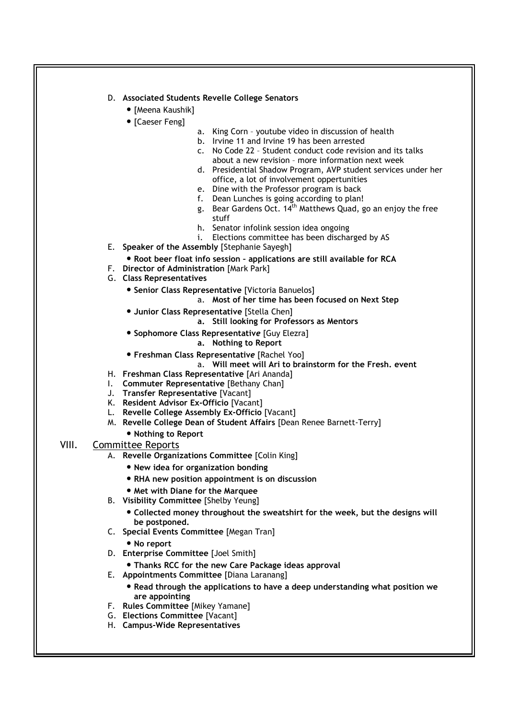- D. Associated Students Revelle College Senators
	- [Meena Kaushik]
	- [Caeser Feng]
- a. King Corn youtube video in discussion of health
- b. Irvine 11 and Irvine 19 has been arrested
- c. No Code 22 Student conduct code revision and its talks about a new revision – more information next week
- d. Presidential Shadow Program, AVP student services under her office, a lot of involvement oppertunities
- e. Dine with the Professor program is back
- f. Dean Lunches is going according to plan!
- g. Bear Gardens Oct.  $14^{th}$  Matthews Quad, go an enjoy the free stuff
- h. Senator infolink session idea ongoing
- i. Elections committee has been discharged by AS
- E. Speaker of the Assembly [Stephanie Sayegh]
	- Root beer float info session applications are still available for RCA
- F. Director of Administration [Mark Park]
- G. Class Representatives
	- Senior Class Representative [Victoria Banuelos]
		- a. Most of her time has been focused on Next Step
	- Junior Class Representative [Stella Chen]
		- a. Still looking for Professors as Mentors
	- Sophomore Class Representative [Guy Elezra]
		- a. Nothing to Report
	- Freshman Class Representative [Rachel Yoo]
		- a. Will meet will Ari to brainstorm for the Fresh. event
- H. Freshman Class Representative [Ari Ananda]
- I. Commuter Representative [Bethany Chan]
- J. Transfer Representative [Vacant]
- K. Resident Advisor Ex-Officio [Vacant]
- L. Revelle College Assembly Ex-Officio [Vacant]
- M. Revelle College Dean of Student Affairs [Dean Renee Barnett-Terry]
	- Nothing to Report

- A. Revelle Organizations Committee [Colin King]
	- New idea for organization bonding
	- RHA new position appointment is on discussion
	- Met with Diane for the Marquee
- B. Visibility Committee [Shelby Yeung]
	- Collected money throughout the sweatshirt for the week, but the designs will be postponed.
- C. Special Events Committee [Megan Tran]
	- No report
- D. Enterprise Committee [Joel Smith]
	- Thanks RCC for the new Care Package ideas approval
- E. Appointments Committee [Diana Laranang]
	- Read through the applications to have a deep understanding what position we are appointing
- F. Rules Committee [Mikey Yamane]
- G. Elections Committee [Vacant]
- H. Campus-Wide Representatives